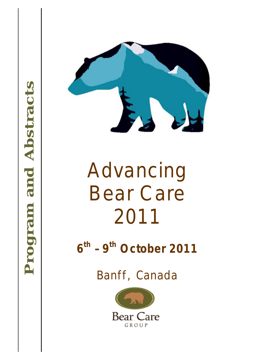



# Advanci<br>
Bear Ca<br>
2011<br>
6<sup>th</sup> - 9<sup>th</sup> October<br>
Banff, Cana<br>
Bear Care Advancing Bear C are 2011

**6 th – 9th O ctobe r 2011** 

Banff, Canada

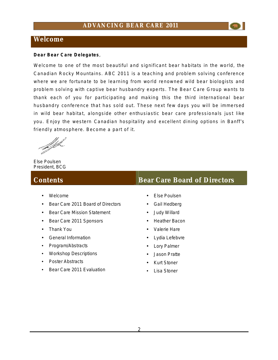### **Welcome**

**Dear Bear Care Delegates**,

Welcome to one of the most beautiful and significant bear habitats in the world, the Canadian Rocky Mountains. ABC 2011 is a teaching and problem solving conference where we are fortunate to be learning from world renowned wild bear biologists and problem solving with captive bear husbandry experts. The Bear Care Group wants to thank each of you for participating and making this the third international bear husbandry conference that has sold out. These next few days you will be immersed in wild bear habitat, alongside other enthusiastic bear care professionals just like you. Enjoy the western Canadian hospitality and excellent dining options in Banff's friendly atmosphere. Become a part of it.

Else Poulsen President, BCG

- Welcome
- Bear Care 2011 Board of Directors
- Bear Care Mission Statement
- Bear Care 2011 Sponsors
- Thank You
- General Information
- Program/Abstracts
- Workshop Descriptions
- Poster Abstracts
- Bear Care 2011 Evaluation

### **Contents Bear Care Board of Directors**

- Else Poulsen
- Gail Hedberg
- Judy Willard
- Heather Bacon
- Valerie Hare
- Lydia Lefebvre
- Lory Palmer
- Jason Pratte
- **Kurt Stoner**
- Lisa Stoner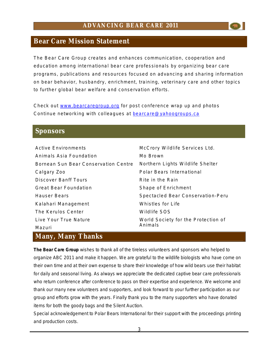### **Bear Care Mission Statement**

The Bear Care Group creates and enhances communication, cooperation and education among international bear care professionals by organizing bear care programs, publications and resources focused on advancing and sharing information on bear behavior, husbandry, enrichment, training, veterinary care and other topics to further global bear welfare and conservation efforts.

Check out [www.bearcaregroup.org](http://www.bearcaregroup.org) for post conference wrap up and photos Continue networking with colleagues at [bearcare@yahoogroups.ca](mailto:bearcare@yahoogroups.ca)

### **Sponsors**

| <b>Active Environments</b>           | McCrory Wildlife Services Ltd.      |
|--------------------------------------|-------------------------------------|
| Animals Asia Foundation              | Mo Brown                            |
| Bornean Sun Bear Conservation Centre | Northern Lights Wildlife Shelter    |
| Calgary Zoo                          | Polar Bears International           |
| Discover Banff Tours                 | Rite in the Rain                    |
| <b>Great Bear Foundation</b>         | Shape of Enrichment                 |
| Hauser Bears                         | Spectacled Bear Conservation-Peru   |
| Kalahari Management                  | Whistles for Life                   |
| The Kerulos Center                   | Wildlife SOS                        |
| Live Your True Nature                | World Society for the Protection of |
| Mazuri                               | Animals                             |

### **Many, Many Thanks**

**The Bear Care Group** wishes to thank all of the tireless volunteers and sponsors who helped to organize ABC 2011 and make it happen. We are grateful to the wildlife biologists who have come on their own time and at their own expense to share their knowledge of how wild bears use their habitat for daily and seasonal living. As always we appreciate the dedicated captive bear care professionals who return conference after conference to pass on their expertise and experience. We welcome and thank our many new volunteers and supporters, and look forward to your further participation as our group and efforts grow with the years. Finally thank you to the many supporters who have donated items for both the goody bags and the Silent Auction.

Special acknowledgement to Polar Bears International for their support with the proceedings printing and production costs.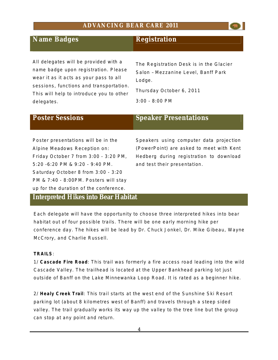### **Name Badges** Registration

All delegates will be provided with a name badge upon registration. Please wear it as it acts as your pass to all sessions, functions and transportation. This will help to introduce you to other delegates.

The Registration Desk is in the Glacier Salon – Mezzanine Level, Banff Park Lodge.

Thursday October 6, 2011

3:00 - 8:00 PM

Poster presentations will be in the Alpine Meadows Reception on: Friday October 7 from 3:00 - 3:20 PM, 5:20 -6:20 PM & 9:20 - 9:40 PM. Saturday October 8 from 3:00 - 3:20 PM & 7:40 - 8:00PM. Posters will stay up for the duration of the conference.

### **Poster Sessions** Speaker Presentations

Speakers using computer data projection (PowerPoint) are asked to meet with Kent Hedberg during registration to download and test their presentation.

### **Interpreted Hikes into Bear Habitat**

Each delegate will have the opportunity to choose three interpreted hikes into bear habitat out of four possible trails. There will be one early morning hike per conference day. The hikes will be lead by Dr. Chuck Jonkel, Dr. Mike Gibeau, Wayne McCrory, and Charlie Russell.

### **TRAILS**:

1/ **Cascade Fire Road**: This trail was formerly a fire access road leading into the wild Cascade Valley. The trailhead is located at the Upper Bankhead parking lot just outside of Banff on the Lake Minnewanka Loop Road. It is rated as a beginner hike.

2/ Healy Creek Trail: This trail starts at the west end of the Sunshine Ski Resort parking lot (about 8 kilometres west of Banff) and travels through a steep sided valley. The trail gradually works its way up the valley to the tree line but the group can stop at any point and return.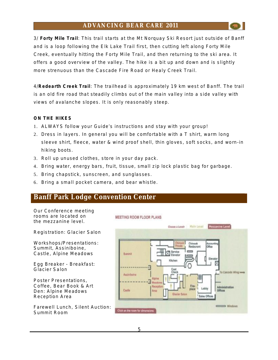3/ **Forty Mile Trail**: This trail starts at the Mt Norquay Ski Resort just outside of Banff and is a loop following the Elk Lake Trail first, then cutting left along Forty Mile Creek, eventually hitting the Forty Mile Trail, and then returning to the ski area. It offers a good overview of the valley. The hike is a bit up and down and is slightly more strenuous than the Cascade Fire Road or Healy Creek Trail.

4/**Redearth Creek Trail**: The trailhead is approximately 19 km west of Banff. The trail is an old fire road that steadily climbs out of the main valley into a side valley with views of avalanche slopes. It is only reasonably steep.

### **ON THE HIKES**

- 1. ALWAYS follow your Guide's instructions and stay with your group!
- 2. Dress in layers. In general you will be comfortable with a T shirt, warm long sleeve shirt, fleece, water & wind proof shell, thin gloves, soft socks, and worn-in hiking boots.

**MEETING ROOM FLOOR PLANS** 

- 3. Roll up unused clothes, store in your day pack.
- 4. Bring water, energy bars, fruit, tissue, small zip lock plastic bag for garbage.
- 5. Bring chapstick, sunscreen, and sunglasses.
- 6. Bring a small pocket camera, and bear whistle.

### **Banff Park Lodge Convention Center**

Our Conference meeting rooms are located on the mezzanine level.

Registration: Glacier Salon

Workshops/Presentations: Summit, Assiniboine, Castle, Alpine Meadows

Egg Breaker - Breakfast: Glacier Salon

Poster Presentations, Coffee, Bear Book & Art Den: Alpine Meadows Reception Area

Farewell Lunch, Silent Auction: Summit Room

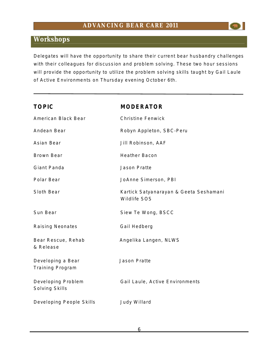### **Workshops**

Delegates will have the opportunity to share their current bear husbandry challenges with their colleagues for discussion and problem solving. These two hour sessions will provide the opportunity to utilize the problem solving skills taught by Gail Laule of Active Environments on Thursday evening October 6th.

| <b>TOPIC</b>                                 | <b>MODERATOR</b>                                       |
|----------------------------------------------|--------------------------------------------------------|
| American Black Bear                          | <b>Christine Fenwick</b>                               |
| Andean Bear                                  | Robyn Appleton, SBC-Peru                               |
| Asian Bear                                   | Jill Robinson, AAF                                     |
| <b>Brown Bear</b>                            | <b>Heather Bacon</b>                                   |
| Giant Panda                                  | <b>Jason Pratte</b>                                    |
| Polar Bear                                   | JoAnne Simerson, PBI                                   |
| Sloth Bear                                   | Kartick Satyanarayan & Geeta Seshamani<br>Wildlife SOS |
| Sun Bear                                     | Siew Te Wong, BSCC                                     |
| <b>Raising Neonates</b>                      | Gail Hedberg                                           |
| Bear Rescue, Rehab<br>& Release              | Angelika Langen, NLWS                                  |
| Developing a Bear<br><b>Training Program</b> | <b>Jason Pratte</b>                                    |
| Developing Problem<br>Solving Skills         | Gail Laule, Active Environments                        |
| Developing People Skills                     | Judy Willard                                           |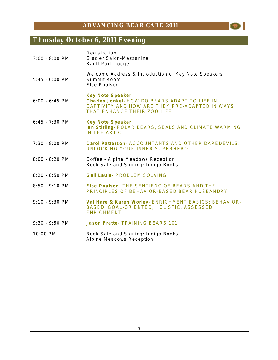$\bullet$ 

# **Thursday October 6, 2011 Evening**

| $3:00 - 8:00$ PM | Registration<br>Glacier Salon-Mezzanine<br><b>Banff Park Lodge</b>                                                                                        |
|------------------|-----------------------------------------------------------------------------------------------------------------------------------------------------------|
| $5:45 - 6:00$ PM | Welcome Address & Introduction of Key Note Speakers<br>Summit Room<br>Else Poulsen                                                                        |
| $6:00 - 6:45$ PM | <b>Key Note Speaker</b><br>Charles Jonkel- HOW DO BEARS ADAPT TO LIFE IN<br>CAPTIVITY AND HOW ARE THEY PRE-ADAPTED IN WAYS<br>THAT ENHANCE THEIR ZOO LIFE |
| $6:45 - 7:30$ PM | <b>Key Note Speaker</b><br>Ian Stirling- POLAR BEARS, SEALS AND CLIMATE WARMING<br>IN THE ARTIC                                                           |
| $7:30 - 8:00$ PM | Carol Patterson- ACCOUNTANTS AND OTHER DAREDEVILS:<br>UNLOCKING YOUR INNER SUPERHERO                                                                      |
| $8:00 - 8:20$ PM | Coffee - Alpine Meadows Reception<br>Book Sale and Signing: Indigo Books                                                                                  |
| $8:20 - 8:50$ PM | <b>Gail Laule- PROBLEM SOLVING</b>                                                                                                                        |
| $8:50 - 9:10$ PM | Else Poulsen- THE SENTIENC OF BEARS AND THE<br>PRINCIPLES OF BEHAVIOR-BASED BEAR HUSBANDRY                                                                |
| $9:10 - 9:30$ PM | Val Hare & Karen Worley- ENRICHMENT BASICS: BEHAVIOR-<br>BASED, GOAL-ORIENTED, HOLISTIC, ASSESSED<br><b>ENRICHMENT</b>                                    |
| $9:30 - 9:50$ PM | <b>Jason Pratte- TRAINING BEARS 101</b>                                                                                                                   |
| 10:00 PM         | Book Sale and Signing: Indigo Books<br>Alpine Meadows Reception                                                                                           |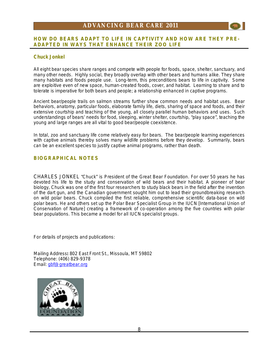### **HOW DO BEARS ADAPT TO LIFE IN CAPTIVITY AND HOW ARE THEY PRE-ADAPTED IN WAYS THAT ENHANCE THEIR ZOO LIFE**

### **Chuck Jonkel**

All eight bear species share ranges and compete with people for foods, space, shelter, sanctuary, and many other needs. Highly social, they broadly overlap with other bears and humans alike. They share many habitats and foods people use. Long-term, this preconditions bears to life in captivity. Some are exploitive even of *new* space, human-created foods, cover, and habitat. Learning to share and to tolerate is imperative for both bears and people; a relationship enhanced in captive programs.

Ancient bear/people trails on salmon streams further show common needs and habitat uses. Bear behaviors, anatomy, particular foods, elaborate family life, diets, sharing of space and foods, and their extensive courtship and teaching of the young, all closely parallel human behaviors and uses. Such understandings of bears' needs for food, sleeping, winter shelter, courtship, "play space", teaching the young and large ranges are all vital to good bear/people coexistence.

In total, zoo and sanctuary life come relatively easy for bears. The bear/people *learning experiences* with captive animals thereby solves many wildlife problems before they develop. Summarily, bears can be an excellent species to justify captive animal programs, rather than death.

### **BIOGRAPHICAL NOTES**

CHARLES JONKEL "Chuck" is President of the Great Bear Foundation. For over 50 years he has devoted his life to the study and conservation of wild bears and their habitat. A pioneer of bear biology, Chuck was one of the first four researchers to study black bears in the field after the invention of the dart gun, and the Canadian government sought him out to lead their groundbreaking research on wild polar bears. Chuck compiled the first reliable, comprehensive scientific data-base on wild polar bears. He and others set up the Polar Bear Specialist Group in the IUCN [International Union of Conservation of Nature] creating a framework of co-operation among the five countries with polar bear populations. This became a model for all IUCN specialist groups.

For details of projects and publications:

Mailing Address**:** 802 East Front St., Missoula, MT 59802 Telephone: (406) 829-9378 Email: [gbf@greatbear.org](mailto:gbf@greatbear.org)

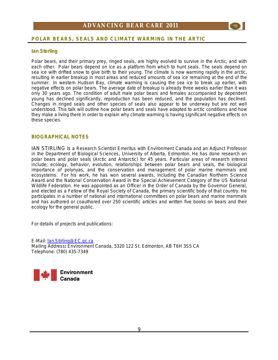

### **Ian Sterling**

Polar bears, and their primary prey, ringed seals, are highly evolved to survive in the Arctic, and with each other. Polar bears depend on ice as a platform from which to hunt seals. The seals depend on sea ice with drifted snow to give birth to their young. The climate is now warming rapidly in the arctic, resulting in earlier breakup in most areas and reduced amounts of sea ice remaining at the end of the summer. In western Hudson Bay, climate warming is causing the sea ice to break up earlier, with negative effects on polar bears. The average date of breakup is already three weeks earlier than it was only 30 years ago. The condition of adult male polar bears and females accompanied by dependent young has declined significantly, reproduction has been reduced, and the population has declined. Changes in ringed seals and other species of seals also appear to be underway but are not well understood. This talk will outline how polar bears and seals have adapted to arctic conditions and how they make a living there in order to explain why climate warming is having significant negative effects on these species.

### **BIOGRAPHICAL NOTES**

IAN STIRLING is a Research Scientist Emeritus with Environment Canada and an Adjunct Professor in the Department of Biological Sciences, University of Alberta, Edmonton. He has done research on polar bears and polar seals (Arctic and Antarctic) for 45 years. Particular areas of research interest include; ecology, behavior, evolution, relationships between polar bears and seals, the biological importance of polynyas, and the conservation and management of polar marine mammals and ecosystems. For his work, he has won several awards, including the Canadian Northern Science Award and the National Conservation Award in the Special Achievement Category of the US National Wildlife Federation. He was appointed as an Officer in the Order of Canada by the Governor General, and elected as a Fellow of the Royal Society of Canada, the primary scientific body of that country. He participates in a number of national and international committees on polar bears and marine mammals and has authored or coauthored over 250 scientific articles and written five books on bears and their ecology for the general public.

For details of projects and publications:

E-Mail: [Ian.Stirling@EC.gc.ca](mailto:Ian.Stirling@EC.gc.ca) Mailing Address**:** Environment Canada, 5320 122 St. Edmonton, AB T6H 3S5 CA Telephone: (780) 435-7349

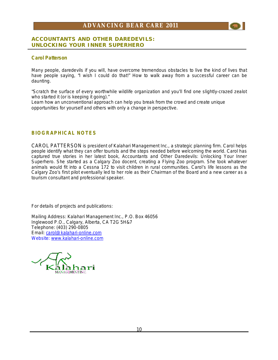### **ACCOUNTANTS AND OTHER DAREDEVILS: UNLOCKING YOUR INNER SUPERHERO**

### **Carol Patterson**

Many people, daredevils if you will, have overcome tremendous obstacles to live the kind of lives that have people saying, "I wish I could do that!" How to walk away from a successful career can be daunting.

"Scratch the surface of every worthwhile wildlife organization and you'll find one slightly-crazed zealot who started it (or is keeping it going)."

Learn how an unconventional approach can help you break from the crowd and create unique opportunities for yourself and others with only a change in perspective.

### **BIOGRAPHICAL NOTES**

CAROL PATTERSON is president of Kalahari Management Inc., a strategic planning firm. Carol helps people identify what they can offer tourists and the steps needed before welcoming the world. Carol has captured true stories in her latest book, Accountants and Other Daredevils: Unlocking Your Inner Superhero. She started as a Calgary Zoo docent, creating a Flying Zoo program. She took whatever animals would fit into a Cessna 172 to visit children in rural communities. Carol's life lessons as the Calgary Zoo's first pilot eventually led to her role as their Chairman of the Board and a new career as a tourism consultant and professional speaker.

For details of projects and publications:

Mailing Address: Kalahari Management Inc., P.O. Box 46056 Inglewood P.O., Calgary, Alberta, CA T2G 5H&7 Telephone: (403) 290-0805 Email: [carol@kalahari-online.com](mailto:carol@kalahari-online.com) Website: [www.kalahari-online.com](http://www.kalahari-online.com)

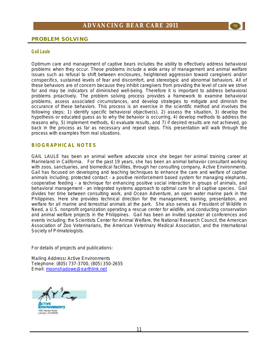

### **PROBLEM SOLVING**

#### **Gail Laule**

Optimum care and management of captive bears includes the ability to effectively address behavioral problems when they occur. These problems include a wide array of management and animal welfare issues such as refusal to shift between enclosures, heightened aggression toward caregivers and/or conspecifics, sustained levels of fear and discomfort, and stereotypic and abnormal behaviors. All of these behaviors are of concern because they inhibit caregivers from providing the level of care we strive for and may be indicators of diminished well-being. Therefore it is important to address behavioral problems proactively. The problem solving process provides a framework to examine behavioral problems, assess associated circumstances, and develop strategies to mitigate and diminish the occurance of these behaviors. This process is an exercise in the scientific method and involves the following steps; 1) identify specific behavioral objective(s), 2) assess the situation, 3) develop the hypothesis or educated guess as to why the behavior is occurring, 4) develop methods to address the reasons why, 5) implement methods, 6) evaluate results, and 7) if desired results are not achieved, go back in the process as far as necessary and repeat steps. This presentation will walk through the process with examples from real situations.

### **BIOGRAPHICAL NOTES**

GAIL LAULE has been an animal welfare advocate since she began her animal training career at Marineland in California. For the past 19 years, she has been an animal behavior consultant working with zoos, sanctuaries, and biomedical facilities, through her consulting company, Active Environments. Gail has focused on developing and teaching techniques to enhance the care and welfare of captive animals including; protected contact - a positive reinforcement based system for managing elephants, cooperative feeding - a technique for enhancing positive social interaction in groups of animals, and behavioral management - an integrated systems approach to optimal care for all captive species. Gail divides her time between consulting work, and Ocean Adventure, an open water marine park in the Philippines. Here she provides technical direction for the management, training, presentation, and welfare for all marine and terrestrial animals at the park. She also serves as President of Wildlife in Need, a U.S. nonprofit organization operating a rescue center for wildlife, and conducting conservation and animal welfare projects in the Philippines. Gail has been an invited speaker at conferences and events including; the Scientists Center for Animal Welfare, the National Research Council, the American Association of Zoo Veterinarians, the American Veterinary Medical Association, and the International Society of Primatologists.

For details of projects and publications:

Mailing Address**:** Active Environments Telephone: (805) 737-3700, (805) 350-2655 Email: [moonshadowe@earthlink.net](mailto:moonshadowe@earthlink.net)

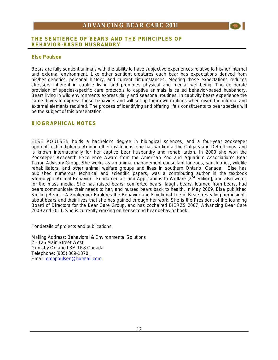### **THE SENTIENCE OF BEARS AND THE PRINCIPLES OF BEHAVIOR-BASED HUSBANDRY**

### **Else Poulsen**

Bears are fully sentient animals with the ability to have subjective experiences relative to his/her internal and external environment. Like other sentient creatures each bear has expectations derived from his/her genetics, personal history, and current circumstances. Meeting those expectations reduces stressors inherent in captive living and promotes physical and mental well-being. The deliberate provision of species-specific care protocols to captive animals is called behavior-based husbandry. Bears living in wild environments express daily and seasonal routines. In captivity bears experience the same drives to express these behaviors and will set up their own routines when given the internal and external elements required. The process of identifying and offering life's constituents to bear species will be the subject of this presentation.

### **BIOGRAPHICAL NOTES**

ELSE POULSEN holds a bachelor's degree in biological sciences, and a four-year zookeeper apprenticeship diploma. Among other institutions, she has worked at the Calgary and Detroit zoos, and is known internationally for her captive bear husbandry and rehabilitation. In 2000 she won the Zookeeper Research Excellence Award from the American Zoo and Aquarium Association's Bear Taxon Advisory Group. She works as an animal management consultant for zoos, sanctuaries, wildlife rehabilitators, and other animal welfare groups and lives in southern Ontario, Canada. Else has published numerous technical and scientific papers, was a contributing author in the textbook *Stereotypic Animal Behavior – Fundamentals and Applications to Welfare* [2nd edition], and also writes for the mass media. She has raised bears, comforted bears, taught bears, learned from bears, had bears communicate their needs to her, and nursed bears back to health. In May 2009, Else published *Smiling Bears – A Zookeeper Explores the Behavior and Emotional Life of Bears* revealing her insights about bears and their lives that she has gained through her work. She is the President of the founding Board of Directors for the Bear Care Group, and has cochaired BIERZS 2007, Advancing Bear Care 2009 and 2011. She is currently working on her second bear behavior book.

For details of projects and publications:

Mailing Address**:** Behavioral & Environmental Solutions 2 - 126 Main Street West Grimsby Ontario L3M 1R8 Canada Telephone: (905) 309-1370 Email: [embpoulsen@hotmail.com](mailto:embpoulsen@hotmail.com)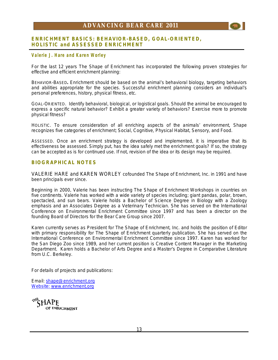### **ENRICHMENT BASICS: BEHAVIOR-BASED, GOAL-ORIENTED, HOLISTIC and ASSESSED ENRICHMENT**

### **Valerie J . H are a nd Karen Worl ey**

For the last 12 years The Shape of Enrichment has incorporated the following proven strategies for effective and efficient enrichment planning:

BEHAVIOR-BASED**.** Enrichment should be based on the animal's behavioral biology, targeting behaviors and abilities appropriate for the species. Successful enrichment planning considers an individual's personal preferences, history, physical fitness, etc.

GOAL-ORIENTED.Identify behavioral, biological, or logistical goals. Should the animal be encouraged to express a specific natural behavior? Exhibit a greater variety of behaviors? Exercise more to promote physical fitness?

HOLISTIC. To ensure consideration of all *enriching* aspects of the animals' environment, Shape recognizes five categories of enrichment; Social, Cognitive, Physical Habitat, Sensory, and Food.

ASSESSED. Once an enrichment strategy is developed and implemented, it is imperative that its effectiveness be assessed. Simply put, has the idea safely met the enrichment goals? If so, the strategy can be accepted as is for continued use. If not, revision of the idea or its design may be required.

### **BIOGRAPHICAL NOTES**

VALERIE HARE and KAREN WORLEY cofounded The Shape of Enrichment, Inc. in 1991 and have been principals ever since.

Beginning in 2000, Valerie has been instructing The Shape of Enrichment Workshops in countries on five continents. Valerie has worked with a wide variety of species including; giant pandas, polar, brown, spectacled, and sun bears. Valerie holds a Bachelor of Science Degree in Biology with a Zoology emphasis and an Associates Degree as a Veterinary Technician. She has served on the International Conference on Environmental Enrichment Committee since 1997 and has been a director on the founding Board of Directors for the Bear Care Group since 2007.

Karen currently serves as President for The Shape of Enrichment, Inc. and holds the position of Editor with primary responsibility for The Shape of Enrichment quarterly publication. She has served on the International Conference on Environmental Enrichment Committee since 1997. Karen has worked for the San Diego Zoo since 1989, and her current position is Creative Content Manager in the Marketing Department. Karen holds a Bachelor of Arts Degree and a Master's Degree in Comparative Literature from U.C. Berkeley.

For details of projects and publications:

Email: [shape@enrichment.org](mailto:shape@enrichment.org) Website: [www.enrichment.org](http://www.enrichment.org)

™5HAPE OF ENRICHMENT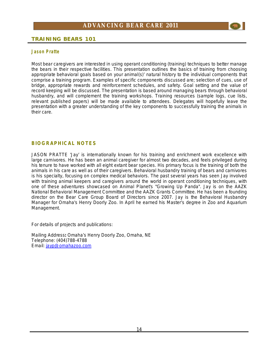

### **TRAINING BEARS 101**

#### **J ason Pratte**

Most bear caregivers are interested in using operant conditioning (training) techniques to better manage the bears in their respective facilities. This presentation outlines the basics of training from choosing appropriate behavioral goals based on your animal(s)' natural history to the individual components that comprise a training program. Examples of specific components discussed are; selection of cues, use of bridge, appropriate rewards and reinforcement schedules, and safety. Goal setting and the value of record keeping will be discussed. The presentation is based around managing bears through behavioral husbandry, and will complement the training workshops. Training resources (sample logs, cue lists, relevant published papers) will be made available to attendees. Delegates will hopefully leave the presentation with a greater understanding of the key components to successfully training the animals in their care.

### **BIOGRAPHICAL NOTES**

JASON PRATTE 'Jay' is internationally known for his training and enrichment work excellence with large carnivores. He has been an animal caregiver for almost two decades, and feels privileged during his tenure to have worked with all eight extant bear species. His primary focus is the training of both the animals in his care as well as of their caregivers. Behavioral husbandry training of bears and carnivores is his specialty, focusing on complex medical behaviors. The past several years has seen Jay involved with training animal keepers and caregivers around the world in operant conditioning techniques, with one of these adventures showcased on Animal Planet's "Growing Up Panda". Jay is on the AAZK National Behavioral Management Committee and the AAZK Grants Committee. He has been a founding director on the Bear Care Group Board of Directors since 2007. Jay is the Behavioral Husbandry Manager for Omaha's Henry Doorly Zoo. In April he earned his Master's degree in Zoo and Aquarium Management.

For details of projects and publications:

Mailing Address**:** Omaha's Henry Doorly Zoo, Omaha, NE Telephone: (404)788-4788 Email: [jayp@omahazoo.com](mailto:jayp@omahazoo.com)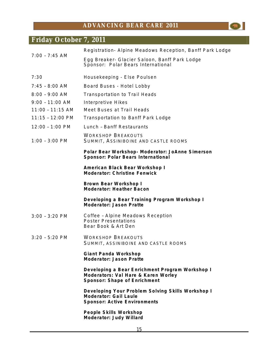$\bullet$ 

## **Friday October 7, 2011**

|                    | Registration- Alpine Meadows Reception, Banff Park Lodge                                                               |
|--------------------|------------------------------------------------------------------------------------------------------------------------|
| $7:00 - 7:45$ AM   | Egg Breaker- Glacier Saloon, Banff Park Lodge<br>Sponsor: Polar Bears International                                    |
| 7:30               | Housekeeping - Else Poulsen                                                                                            |
| $7:45 - 8:00$ AM   | Board Buses - Hotel Lobby                                                                                              |
| $8:00 - 9:00$ AM   | <b>Transportation to Trail Heads</b>                                                                                   |
| $9:00 - 11:00$ AM  | <b>Interpretive Hikes</b>                                                                                              |
| $11:00 - 11:15$ AM | Meet Buses at Trail Heads                                                                                              |
| $11:15 - 12:00$ PM | <b>Transportation to Banff Park Lodge</b>                                                                              |
| $12:00 - 1:00$ PM  | Lunch - Banff Restaurants                                                                                              |
| $1:00 - 3:00$ PM   | <b>WORKSHOP BREAKOUTS</b><br>SUMMIT, ASSINIBOINE AND CASTLE ROOMS                                                      |
|                    | Polar Bear Workshop- Moderator: JoAnne Simerson<br>Sponsor: Polar Bears International                                  |
|                    | American Black Bear Workshop I<br>Moderator: Christine Fenwick                                                         |
|                    | Brown Bear Workshop I<br><b>Moderator: Heather Bacon</b>                                                               |
|                    | Developing a Bear Training Program Workshop I<br>Moderator: Jason Pratte                                               |
| $3:00 - 3:20$ PM   | Coffee - Alpine Meadows Reception<br><b>Poster Presentations</b><br>Bear Book & Art Den                                |
| $3:20 - 5:20$ PM   | <b>WORKSHOP BREAKOUTS</b><br>SUMMIT, ASSINIBOINE AND CASTLE ROOMS                                                      |
|                    | Giant Panda Workshop<br>Moderator: Jason Pratte                                                                        |
|                    | Developing a Bear Enrichment Program Workshop I<br>Moderators: Val Hare & Karen Worley<br>Sponsor: Shape of Enrichment |
|                    | Developing Your Problem Solving Skills Workshop I<br>Moderator: Gail Laule<br><b>Sponsor: Active Environments</b>      |
|                    | People Skills Workshop<br>Moderator: Judy Willard                                                                      |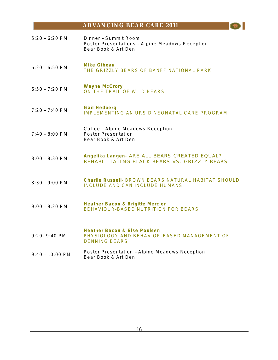5:20 – 6:20 PM Dinner – Summit Room Poster Presentations – Alpine Meadows Reception Bear Book & Art Den 6:20 – 6:50 PM **Mike Gibeau** THE GRIZZLY BEARS OF BANFF NATIONAL PARK 6:50 – 7:20 PM **Wayne McCrory**  ON THE TRAIL OF WILD BEARS 7:20 – 7:40 PM **Gail Hedberg**  IMPLEMENTING AN URSID NEONATAL CARE PROGRAM 7:40 – 8:00 PM Coffee – Alpine Meadows Reception Poster Presentation Bear Book & Art Den 8:00 – 8:30 PM **Angelika Langen**- ARE ALL BEARS CREATED EQUAL? REHABILITATING BLACK BEARS VS. GRIZZLY BEARS 8:30 – 9:00 PM **Charlie Russell**- BROWN BEARS NATURAL HABITAT SHOULD INCLUDE AND CAN INCLUDE HUMANS 9:00 – 9:20 PM **Heather Bacon & Brigitte Mercier** BEHAVIOUR-BASED NUTRITION FOR BEARS 9:20- 9:40 PM **Heather Bacon & Else Poulsen**  PHYSIOLOGY AND BEHAVIOR-BASED MANAGEMENT OF DENNING BEARS 9:40 – 10:00 PM Poster Presentation – Alpine Meadows Reception Bear Book & Art Den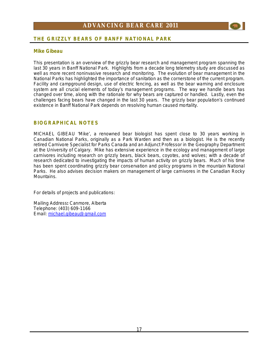

### **Mike Gibeau**

This presentation is an overview of the grizzly bear research and management program spanning the last 30 years in Banff National Park. Highlights from a decade long telemetry study are discussed as well as more recent noninvasive research and monitoring. The evolution of bear management in the National Parks has highlighted the importance of sanitation as the cornerstone of the current program. Facility and campground design, use of electric fencing, as well as the bear warning and enclosure system are all crucial elements of today's management programs. The way we handle bears has changed over time, along with the rationale for why bears are captured or handled. Lastly, even the challenges facing bears have changed in the last 30 years. The grizzly bear population's continued existence in Banff National Park depends on resolving human caused mortality.

### **BIOGRAPHICAL NOTES**

MICHAEL GIBEAU 'Mike', a renowned bear biologist has spent close to 30 years working in Canadian National Parks, originally as a Park Warden and then as a biologist. He is the recently retired Carnivore Specialist for Parks Canada and an Adjunct Professor in the Geography Department at the University of Calgary. Mike has extensive experience in the ecology and management of large carnivores including research on grizzly bears, black bears, coyotes, and wolves; with a decade of research dedicated to investigating the impacts of human activity on grizzly bears. Much of his time has been spent coordinating grizzly bear conservation and policy programs in the mountain National Parks. He also advises decision makers on management of large carnivores in the Canadian Rocky Mountains.

For details of projects and publications:

Mailing Address**:** Canmore, Alberta Telephone: (403) 609-1166 Email: [michael.gibeau@gmail.com](mailto:michael.gibeau@gmail.com)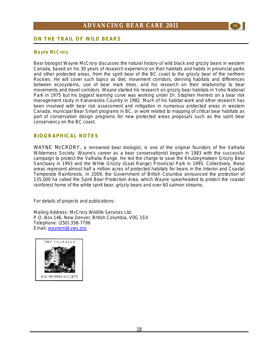

### **ON THE TRAIL OF WILD BEARS**

### **Wa yne M cC ror y**

Bear biologist Wayne McCrory discusses the natural history of wild black and grizzly bears in western Canada, based on his 30 years of research experience on their habitats and habits in provincial parks and other protected areas, from the spirit bear of the BC coast to the grizzly bear of the northern Rockies. He will cover such topics as diet, movement corridors, denning habitats and differences between ecosystems, use of bear mark trees, and his research on their relationship to bear movements and travel corridors. Wayne started his research on grizzly bear habitats in Yoho National Park in 1975 but his biggest learning curve was working under Dr. Stephen Herrero on a bear risk management study in Kananaskis Country in 1982. Much of his habitat work and other research has been involved with bear risk assessment and mitigation in numerous protected areas in western Canada, municipal Bear Smart programs in BC, or work related to mapping of critical bear habitats as part of conservation design programs for new protected areas proposals such as the spirit bear conservancy on the BC coast.

### **BIOGRAPHICAL NOTES**

WAYNE McCRORY, a renowned bear biologist, is one of the original founders of the Valhalla Wilderness Society. Wayne's career as a bear conservationist began in 1983 with the successful campaign to protect the Valhalla Range. He led the charge to save the Khutzeymateen Grizzly Bear Sanctuary in 1993 and the White Grizzly (Goat Range) Provincial Park in 1995. Collectively, these areas represent almost half a million acres of protected habitats for bears in the Interior and Coastal Temperate Rainforests. In 2009, the Government of British Columbia announced the protection of 135,000 ha called the Spirit Bear Protection Area, which Wayne spearheaded to protect the coastal rainforest home of the white spirit bear, grizzly bears and over 60 salmon streams.

For details of projects and publications:

Mailing Address: McCrory Wildlife Services Ltd. P.O. Box 146, New Denver, British Columbia, V0G 1S0 Telephone: (250) 358-7796 Email: [waynem@vws.org](mailto:waynem@vws.org)

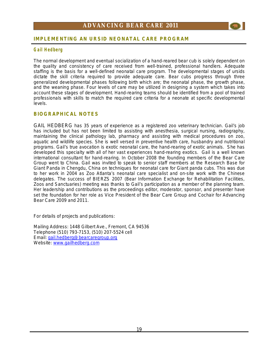

### **G ail H ed berg**

The normal development and eventual socialization of a hand-reared bear cub is solely dependent on the quality and consistency of care received from well-trained, professional handlers. Adequate staffing is the basis for a well-defined neonatal care program. The developmental stages of ursids dictate the skill criteria required to provide adequate care. Bear cubs progress through three generalized developmental phases following birth which are; the neonatal phase, the growth phase, and the weaning phase. Four levels of care may be utilized in designing a system which takes into account these stages of development. Hand-rearing teams should be identified from a pool of trained professionals with skills to match the required care criteria for a neonate at specific developmental levels.

### **BIOGRAPHICAL NOTES**

GAIL HEDBERG has 35 years of experience as a registered zoo veterinary technician. Gail's job has included but has not been limited to assisting with anesthesia, surgical nursing, radiography, maintaining the clinical pathology lab, pharmacy and assisting with medical procedures on zoo, aquatic and wildlife species. She is well versed in preventive health care, husbandry and nutritional programs. Gail's true avocation is exotic neonatal care, the hand-rearing of exotic animals. She has developed this specialty with all of her vast experiences hand-rearing exotics. Gail is a well known international consultant for hand-rearing. In October 2008 the founding members of the Bear Care Group went to China. Gail was invited to speak to senior staff members at the Research Base for Giant Panda in Chengdu, China on techniques for neonatal care for Giant panda cubs. This was due to her work in 2004 as Zoo Atlanta's neonatal care specialist and on-site work with the Chinese delegates. The success of BIERZS 2007 (*Bear Information Exchange for Rehabilitation Facilities, Zoos and Sanctuaries*) meeting was thanks to Gail's participation as a member of the planning team. Her leadership and contributions as the proceedings editor, moderator, sponsor, and presenter have set the foundation for her role as Vice President of the Bear Care Group and Cochair for Advancing Bear Care 2009 and 2011.

For details of projects and publications:

Mailing Address: 1448 Gilbert Ave., Fremont, CA 94536 Telephone (510) 793-7153, (510) 207-5524 cell Email: [gail.hedberg@bearcaregroup.org](mailto:gail.hedberg@bearcaregroup.org) Website: [www.gailhedberg.com](http://www.gailhedberg.com)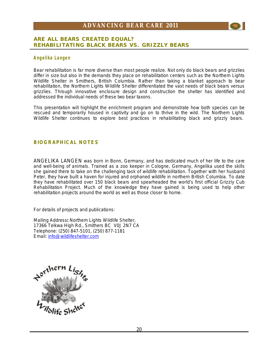### **ARE ALL BEARS CREATED EQUAL? REHABILITATING BLACK BEARS VS. GRIZZLY BEARS**

### **Angel i ka La nge n**

Bear rehabilitation is far more diverse than most people realize. Not only do black bears and grizzlies differ in size but also in the demands they place on rehabilitation centers such as the Northern Lights Wildlife Shelter in Smithers, British Columbia. Rather than taking a blanket approach to bear rehabilitation, the Northern Lights Wildlife Shelter differentiated the vast needs of black bears versus grizzlies. Through innovative enclosure design and construction the shelter has identified and addressed the individual needs of these two bear taxons.

This presentation will highlight the enrichment program and demonstrate how both species can be rescued and temporarily housed in captivity and go on to thrive in the wild. The Northern Lights Wildlife Shelter continues to explore best practices in rehabilitating black and grizzly bears.

### **BIOGRAPHICAL NOTES**

ANGELIKA LANGEN was born in Bonn, Germany, and has dedicated much of her life to the care and well-being of animals. Trained as a zoo keeper in Cologne, Germany, Angelika used the skills she gained there to take on the challenging task of wildlife rehabilitation. Together with her husband Peter, they have built a haven for injured and orphaned wildlife in northern British Columbia. To date they have rehabilitated over 150 black bears and spearheaded the world's first official Grizzly Cub Rehabilitation Project. Much of the knowledge they have gained is being used to help other rehabilitation projects around the world as well as those closer to home.

For details of projects and publications:

Mailing Address**:** Northern Lights Wildlife Shelter, 17366 Telkwa High Rd., Smithers BC V0J 2N7 CA Telephone: (250) 847-5101, (250) 877-1181 Email: [info@wildlifeshelter.com](mailto:info@wildlifeshelter.com)

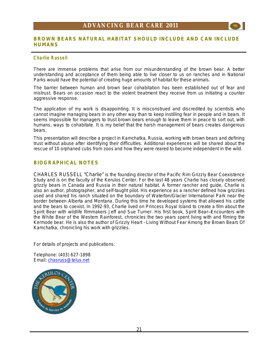### **BROWN BEARS NATURAL HABITAT SHOULD INCLUDE AND CAN INCLUDE HUMANS**

### **C harlie R ussell**

There are immense problems that arise from our misunderstanding of the brown bear. A better understanding and acceptance of them being able to live closer to us on ranches and in National Parks would have the potential of creating huge amounts of habitat for these animals.

The barrier between human and brown bear cohabitation has been established out of fear and mistrust. Bears on occasion react to the violent treatment they receive from us initiating a counter aggressive response.

The application of my work is disappointing. It is misconstrued and discredited by scientists who cannot imagine managing bears in any other way than to keep instilling fear in people and in bears. It seems impossible for managers to trust brown bears enough to leave them in peace to sort out, with humans, ways to cohabitate. It is my belief that the harsh management of bears creates dangerous bears.

This presentation will describe a project in Kamchatka, Russia, working with brown bears and defining trust without abuse after identifying their difficulties. Additional experiences will be shared about the rescue of 10 orphaned cubs from zoos and how they were reared to become independent in the wild.

### **BIOGRAPHICAL NOTES**

CHARLES RUSSELL "Charlie" is the founding director of the Pacific Rim Grizzly Bear Coexistence Study and is on the faculty of the Kerulos Center. For the last 48 years Charlie has closely observed grizzly bears in Canada and Russia in their natural habitat. A former rancher and guide, Charlie is also an author, photographer, and self-taught pilot. His experience as a rancher defined how grizzlies used and shared his ranch situated on the boundary of Waterton/Glacier International Park near the border between Alberta and Montana. During this time he developed systems that allowed his cattle and the bears to coexist. In 1992-93, Charlie lived on Princess Royal Island to create a film about the Spirit Bear with wildlife filmmakers Jeff and Sue Turner. His first book, *Spirit Bear—Encounters with the White Bear of the Western Rainforest,* chronicles the two years spent living with and filming the Kermode bear. He is also the author of *Grizzly Heart – Living Without Fear Among the Brown Bears Of Kamchatka*, chronicling his work with grizzlies.

For details of projects and publications:

Telephone: (403) 627-1898 Email: [chasruss@telus.net](mailto:chasruss@telus.net)

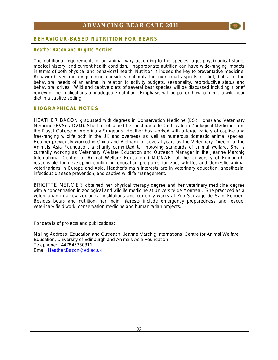

### **BEHAVIOUR-BASED NUTRITION FOR BEARS**

### **H eather Bacon an d Brigit te M er ci er**

The nutritional requirements of an animal vary according to the species, age, physiological stage, medical history, and current health condition. Inappropriate nutrition can have wide-ranging impacts in terms of both physical and behavioral health. Nutrition is indeed the key to preventative medicine. Behavior-based dietary planning considers not only the nutritional aspects of diet, but also the behavioral needs of an animal in relation to activity budgets, seasonality, reproductive status and behavioral drives. Wild and captive diets of several bear species will be discussed including a brief review of the implications of inadequate nutrition. Emphasis will be put on how to mimic a wild bear diet in a captive setting.

### **BIOGRAPHICAL NOTES**

HEATHER BACON graduated with degrees in Conservation Medicine (BSc Hons) and Veterinary Medicine (BVSc / DVM). She has obtained her postgraduate Certificate in Zoological Medicine from the Royal College of Veterinary Surgeons. Heather has worked with a large variety of captive and free-ranging wildlife both in the UK and overseas as well as numerous domestic animal species. Heather previously worked in China and Vietnam for several years as the Veterinary Director of the Animals Asia Foundation, a charity committed to improving standards of animal welfare. She is currently working as Veterinary Welfare Education and Outreach Manager in the Jeanne Marchig International Centre for Animal Welfare Education (JMICAWE) at the University of Edinburgh, responsible for developing continuing education programs for zoo, wildlife, and domestic animal veterinarians in Europe and Asia. Heather's main interests are in veterinary education, anesthesia, infectious disease prevention, and captive wildlife management.

BRIGITTE MERCIER obtained her physical therapy degree and her veterinary medicine degree with a concentration in zoological and wildlife medicine at Université de Montréal. She practiced as a veterinarian in a few zoological institutions and currently works at Zoo Sauvage de Saint-Félicien. Besides bears and nutrition, her main interests include emergency preparedness and rescue, veterinary field work, conservation medicine and humanitarian projects.

For details of projects and publications:

Mailing Address: Education and Outreach, Jeanne Marchig International Centre for Animal Welfare Education, University of Edinburgh and Animals Asia Foundation Telephone: +447845380311 Email: [Heather.Bacon@ed.ac.uk](mailto:Heather.Bacon@ed.ac.uk)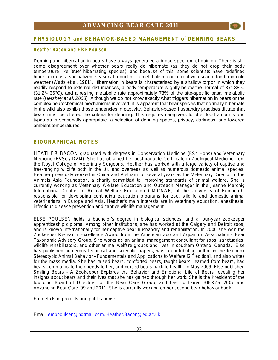

### **PHYSIOLOGY and BEHAVIOR-BASED MANAGEMENT of DENNING BEARS**

### **H eather Bacon an d E l se Poul sen**

Denning and hibernation in bears have always generated a broad spectrum of opinion. There is still some disagreement over whether bears really do hibernate (as they do not drop their body temperature like 'true' hibernating species), and because of this, some scientists have redefined hibernation as a specialized, seasonal reduction in metabolism concurrent with scarce food and cold weather (*Watts et al. 1981*). Hibernation in bears is characterised by a shallow torpor in which they readily respond to external disturbances, a body temperature slightly below the normal of 37°-38°C  $(31.2^{\circ}$ - 36 $^{\circ}$ C), and a resting metabolic rate approximately 73% of the site-specific basal metabolic rate (*Hershey et al, 2008*). Although we do not know exactly what triggers hibernation in bears or the complex neurochemical mechanisms involved, it is apparent that bear species that normally hibernate in the wild also exhibit those tendencies in captivity. Behavior-based husbandry practises dictate that bears must be offered the criteria for denning. This requires caregivers to offer food amounts and types as is seasonally appropriate, a selection of denning spaces, privacy, darkness, and lowered ambient temperatures.

### **BIOGRAPHICAL NOTES**

HEATHER BACON graduated with degrees in Conservation Medicine (BSc Hons) and Veterinary Medicine (BVSc / DVM). She has obtained her postgraduate Certificate in Zoological Medicine from the Royal College of Veterinary Surgeons. Heather has worked with a large variety of captive and free-ranging wildlife both in the UK and overseas as well as numerous domestic animal species. Heather previously worked in China and Vietnam for several years as the Veterinary Director of the Animals Asia Foundation, a charity committed to improving standards of animal welfare. She is currently working as Veterinary Welfare Education and Outreach Manager in the Jeanne Marchig International Centre for Animal Welfare Education (JMICAWE) at the University of Edinburgh, responsible for developing continuing education programs for zoo, wildlife and domestic animal veterinarians in Europe and Asia. Heather's main interests are in veterinary education, anesthesia, infectious disease prevention and captive wildlife management.

ELSE POULSEN holds a bachelor's degree in biological sciences, and a four-year zookeeper apprenticeship diploma. Among other institutions, she has worked at the Calgary and Detroit zoos, and is known internationally for her captive bear husbandry and rehabilitation. In 2000 she won the Zookeeper Research Excellence Award from the American Zoo and Aquarium Association's Bear Taxonomic Advisory Group. She works as an animal management consultant for zoos, sanctuaries, wildlife rehabilitators, and other animal welfare groups and lives in southern Ontario, Canada. Else has published numerous technical and scientific papers, was a contributing author in the textbook *Stereotypic Animal Behavior - Fundamentals and <i>Applications* to Welfare [2<sup>nd</sup> edition], and also writes for the mass media. She has raised bears, comforted bears, taught bears, learned from bears, had bears communicate their needs to her, and nursed bears back to health. In May 2009, Else published *Smiling Bears – A Zookeeper Explores the Behavior and Emotional Life of Bears* revealing her insights about bears and their lives that she has gained through her work. She is the President of the founding Board of Directors for the Bear Care Group, and has cochaired BIERZS 2007 and Advancing Bear Care '09 and 2011. She is currently working on her second bear behavior book.

For details of projects and publications:

Email: [embpoulsen@hotmail.com,](mailto:embpoulsen@hotmail.com) [Heather.Bacon@ed.ac.uk](mailto:Heather.Bacon@ed.ac.uk)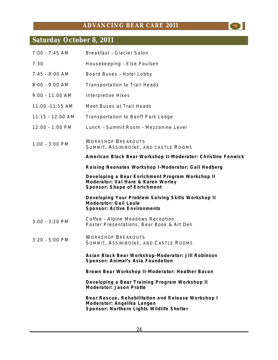$\bullet$ 

## **Saturday October 8, 2011**

| $7:00 - 7:45$ AM  | Breakfast - Glacier Salon                                                                                                     |
|-------------------|-------------------------------------------------------------------------------------------------------------------------------|
| 7:30              | Housekeeping - Else Poulsen                                                                                                   |
| $7:45 - 8:00$ AM  | Board Buses - Hotel Lobby                                                                                                     |
| $8:00 - 9:00$ AM  | <b>Transportation to Trail Heads</b>                                                                                          |
| $9:00 - 11:00$ AM | <b>Interpretive Hikes</b>                                                                                                     |
| 11:00 -11:15 AM   | Meet Buses at Trail Heads                                                                                                     |
| 11:15 - 12:00 AM  | <b>Transportation to Banff Park Lodge</b>                                                                                     |
| 12:00 - 1:00 PM   | Lunch - Summit Room - Mezzanine Level                                                                                         |
| $1:00 - 3:00$ PM  | <b>WORKSHOP BREAKOUTS</b><br>SUMMIT, ASSINIBOINE, AND CASTLE ROOMS                                                            |
|                   | American Black Bear Workshop II-Moderator: Christine Fenwick                                                                  |
|                   | Raising Neonates Workshop I-Moderator: Gail Hedberg                                                                           |
|                   | Developing a Bear Enrichment Program Workshop II<br>Moderator: Val Hare & Karen Worley<br>Sponsor: Shape of Enrichment        |
|                   | Developing Your Problem Solving Skills Workshop II<br>Moderator: Gail Laule<br><b>Sponsor: Active Environments</b>            |
| $3:00 - 3:20$ PM  | Coffee - Alpine Meadows Reception<br>Poster Presentations, Bear Book & Art Den                                                |
| $3:20 - 5:00$ PM  | <b>WORKSHOP BREAKOUTS</b><br>SUMMIT, ASSINIBOINE, AND CASTLE ROOMS                                                            |
|                   | Asian Black Bear Workshop-Moderator: Jill Robinson<br>Sponsor: Animal's Asia Foundation                                       |
|                   | Brown Bear Workshop II-Moderator: Heather Bacon                                                                               |
|                   | Developing a Bear Training Program Workshop II<br>Moderator: Jason Pratte                                                     |
|                   | Bear Rescue, Rehabilitation and Release Workshop I<br>Moderator: Angelika Langen<br>Sponsor: Northern Lights Wildlife Shelter |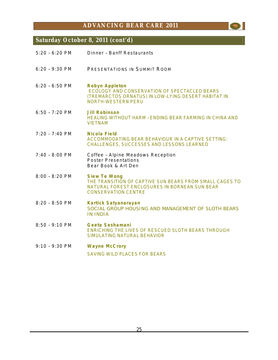$\bullet$ 

### **Saturday October 8, 2011 (cont'd)**

| $5:20 - 6:20$ PM | Dinner - Banff Restaurants                                                                                                                                    |
|------------------|---------------------------------------------------------------------------------------------------------------------------------------------------------------|
| $6:20 - 9:30$ PM | PRESENTATIONS IN SUMMIT ROOM                                                                                                                                  |
| $6:20 - 6:50$ PM | Robyn Appleton<br>ECOLOGY AND CONSERVATION OF SPECTACLED BEARS<br>(TREMARCTOS ORNATUS) IN LOW-LYING DESERT HABITAT IN<br><b>NORTH-WESTERN PERU</b>            |
| $6:50 - 7:20$ PM | Jill Robinson<br>HEALING WITHOUT HARM - ENDING BEAR FARMING IN CHINA AND<br><b>VIETNAM</b>                                                                    |
| $7:20 - 7:40$ PM | Nicola Field<br><b>ACCOMMODATING BEAR BEHAVIOUR IN A CAPTIVE SETTING:</b><br><b>CHALLENGES, SUCCESSES AND LESSONS LEARNED</b>                                 |
| $7:40 - 8:00$ PM | Coffee - Alpine Meadows Reception<br><b>Poster Presentations</b><br>Bear Book & Art Den                                                                       |
| $8:00 - 8:20$ PM | <b>Siew Te Wong</b><br>THE TRANSITION OF CAPTIVE SUN BEARS FROM SMALL CAGES TO<br>NATURAL FOREST ENCLOSURES IN BORNEAN SUN BEAR<br><b>CONSERVATION CENTRE</b> |
| 8:20 - 8:50 PM   | Kartick Satyanarayan<br>SOCIAL GROUP HOUSING AND MANAGEMENT OF SLOTH BEARS<br><b>IN INDIA</b>                                                                 |
| $8:50 - 9:10$ PM | Geeta Seshamani<br><b>ENRICHING THE LIVES OF RESCUED SLOTH BEARS THROUGH</b><br><b>SIMULATING NATURAL BEHAVIOR</b>                                            |
| $9:10 - 9:30$ PM | <b>Wayne McCrory</b><br><b>SAVING WILD PLACES FOR BEARS</b>                                                                                                   |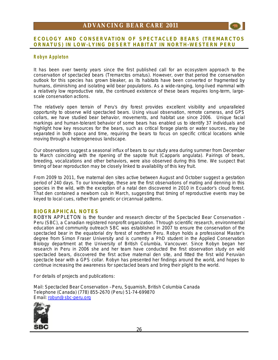### **ECOLOGY AND CONSERVATION OF SPECTACLED BEARS (***TREMARCTOS ORNATUS***) IN LOW-LYING DESERT HABITAT IN NORTH-WESTERN PERU**

### **R obyn Appleton**

It has been over twenty years since the first published call for an ecosystem approach to the conservation of spectacled bears *(Tremarctos ornatus)*. However, over that period the conservation outlook for this species has grown bleaker, as its habitats have been converted or fragmented by humans, diminishing and isolating wild bear populations. As a wide-ranging, long-lived mammal with a relatively low reproductive rate, the continued existence of these bears requires long-term, largescale conservation actions.

The relatively open terrain of Peru's dry forest provides excellent visibility and unparalleled opportunity to observe wild spectacled bears. Using visual observation, remote cameras, and GPS collars, we have studied bear behavior, movements, and habitat use since 2006. Unique facial markings and human-tolerant behavior of some bears has enabled us to identify 37 individuals and highlight how key resources for the bears, such as critical forage plants or water sources, may be separated in both space and time, requiring the bears to focus on specific critical locations while moving through a heterogeneous landscape.

Our observations suggest a seasonal influx of bears to our study area during summer from December to March coinciding with the ripening of the sapote fruit *(Capparis angulata*). Pairings of bears, breeding, vocalizations and other behaviors, were also observed during this time. We suspect that timing of bear reproduction may be closely linked to availability of this key fruit.

From 2009 to 2011, five maternal den sites active between August and October suggest a gestation period of 240 days. To our knowledge, these are the first observations of mating and denning in this species in the wild, with the exception of a natal den discovered in 2010 in Ecuador's cloud forest. That den contained a newborn cub in March, suggesting that timing of reproductive events may be keyed to local cues, rather than genetic or circannual patterns.

### **BIOGRAPHICAL NOTES**

ROBYN APPLETON is the founder and research director of the Spectacled Bear Conservation - Peru (SBC), a Canadian registered nonprofit organization. Through scientific research, environmental education and community outreach SBC was established in 2007 to ensure the conservation of the spectacled bear in the equatorial dry forest of northern Peru. Robyn holds a professional Master's degree from Simon Fraser University and is currently a PhD student in the Applied Conservation Biology department at the University of British Columbia, Vancouver. Since Robyn began her research in Peru in 2006 she and her team have conducted the first observation study on wild spectacled bears, discovered the first active maternal den site, and fitted the first wild Peruvian spectacle bear with a GPS collar. Robyn has presented her findings around the world, and hopes to continue increasing the awareness for spectacled bears and bring their plight to the world.

For details of projects and publications:

Mail: Spectacled Bear Conservation – Peru, Squamish, British Columbia Canada Telephone (Canada) (778) 855-2670 (Peru) 51-74-699870 Email: [robyn@sbc-peru.org](mailto:robyn@sbc-peru.org)

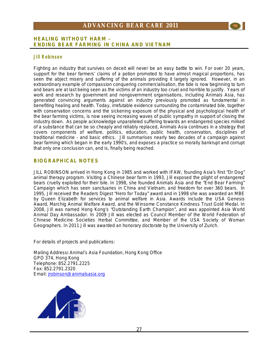### **HEALING WITHOUT HARM – ENDING BEAR FARMING IN CHINA AND VIETNAM**

### **Ji ll R obinso n**

Fighting an industry that survives on deceit will never be an easy battle to win. For over 20 years, support for the bear farmers' claims of a potion promoted to have almost magical proportions, has seen the abject misery and suffering of the animals providing it largely ignored. However, in an extraordinary example of compassion conquering commercialisation, the tide is now beginning to turn and bears are at last being seen as the victims of an industry too cruel and horrible to justify. Years of work and research by government and nongovernment organisations, including Animals Asia, has generated convincing arguments against an industry previously promoted as fundamental in benefiting healing and health. Today, irrefutable evidence surrounding the contaminated bile, together with conservation concerns and the sickening exposure of the physical and psychological health of the bear farming victims, is now seeing increasing waves of public sympathy in support of closing the industry down. As people acknowledge unparalleled suffering towards an endangered species *milked* of a substance that can be so cheaply and reliably replaced, Animals Asia continues in a strategy that covers components of welfare, politics, education, public health, conservation, disciplines of traditional medicine - and basic ethics. Jill summarises nearly two decades of a campaign against bear farming which began in the early 1990's, and exposes a practice so morally bankrupt and corrupt that only one conclusion can, and is, finally being reached.

### **BIOGRAPHICAL NOTES**

JILL ROBINSON arrived in Hong Kong in 1985 and worked with IFAW, founding Asia's first "Dr Dog" animal therapy program. Visiting a Chinese bear farm in 1993, Jill exposed the plight of endangered bears cruelly exploited for their bile. In 1998, she founded Animals Asia and the "End Bear Farming" Campaign which has seen sanctuaries in China and Vietnam, and freedom for over 360 bears. In 1995, Jill received the Readers Digest "Hero for Today" award and in 1998 she was awarded an MBE by Queen Elizabeth for services to animal welfare in Asia. Awards include the USA Genesis Award, Marchig Animal Welfare Award, and the Winsome Constance Kindness Trust Gold Medal. In 2008, Jill was named Hong Kong's "Outstanding Earth Champion", and was appointed Asia World Animal Day Ambassador. In 2009 Jill was elected as Council Member of the World Federation of Chinese Medicine Societies Herbal Committee, and Member of the USA Society of Woman Geographers. In 2011 Jill was awarded an honorary doctorate by the University of Zurich.

For details of projects and publications:

Mailing Address**:** Animal's Asia Foundation, Hong Kong Office GPO 374, Hong Kong Telephone: 852.2791.2225 Fax: 852.2791.2320 Email: [jrobinson@animalsasia.org](mailto:jrobinson@animalsasia.org)

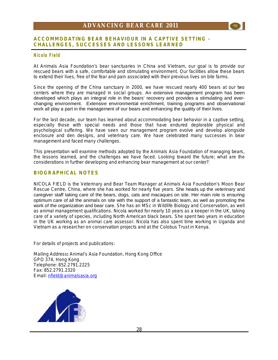### **ACCOMMODATING BEAR BEHAVIOUR IN A CAPTIVE SETTING - CHALLENGES, SUCCESSES AND LESSONS LEARNED**

### **Nicola Field**

At Animals Asia Foundation's bear sanctuaries in China and Vietnam, our goal is to provide our rescued bears with a safe, comfortable and stimulating environment. Our facilities allow these bears to extend their lives, free of the fear and pain associated with their previous lives on bile farms.

Since the opening of the China sanctuary in 2000, we have rescued nearly 400 bears at our two centers where they are managed in social groups. An extensive management program has been developed which plays an integral role in the bears' recovery and provides a stimulating and everchanging environment. Extensive environmental enrichment, training programs and observational work all play a part in the management of our bears and enhancing the quality of their lives.

For the last decade, our team has learned about accommodating bear behavior in a captive setting, especially those with special needs and those that have endured deplorable physical and psychological suffering. We have seen our management program evolve and develop alongside enclosure and den designs, and veterinary care. We have celebrated many successes in bear management and faced many challenges.

This presentation will examine methods adopted by the Animals Asia Foundation of managing bears, the lessons learned, and the challenges we have faced. Looking toward the future; what are the considerations in further developing and enhancing bear management at our center?

### **BIOGRAPHICAL NOTES**

NICOLA FIELD is the Veterinary and Bear Team Manager at Animals Asia Foundation's Moon Bear Rescue Centre, China, where she has worked for nearly five years. She heads up the veterinary and caregiver staff taking care of the bears, dogs, cats and macaques on site. Her main role is ensuring optimum care of all the animals on site with the support of a fantastic team, as well as promoting the work of the organization and bear care. She has an MSc in Wildlife Biology and Conservation, as well as animal management qualifications. Nicola worked for nearly 10 years as a keeper in the UK, taking care of a variety of species, including North American black bears. She spent two years in education in the UK working as an animal care assessor. Nicola has also spent time working in Uganda and Vietnam as a researcher on conservation projects and at the Colobus Trust in Kenya.

For details of projects and publications:

Mailing Address**:** Animal's Asia Foundation, Hong Kong Office GPO 374, Hong Kong Telephone: 852.2791.2225 Fax: 852.2791.2320 Email: [nfield@animalsasia.org](mailto:nfield@animalsasia.org)

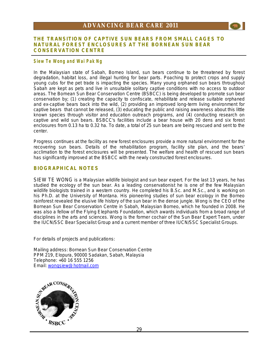

#### **Siew Te Won g and Wai Pak Ng**

In the Malaysian state of Sabah, Borneo Island, sun bears continue to be threatened by forest degradation, habitat loss, and illegal hunting for bear parts. Poaching to protect crops and supply young cubs for the pet trade is impacting the species. Many young orphaned sun bears throughout Sabah are kept as pets and live in unsuitable solitary captive conditions with no access to outdoor areas. The Bornean Sun Bear Conservation Centre (BSBCC) is being developed to promote sun bear conservation by; (1) creating the capacity to confiscate, rehabilitate and release suitable orphaned and ex-captive bears back into the wild, (2) providing an improved long-term living environment for captive bears that cannot be released, (3) educating the public and raising awareness about this little known species through visitor and education outreach programs, and (4) conducting research on captive and wild sun bears. BSBCC's facilities include a bear house with 20 dens and six forest enclosures from 0.13 ha to 0.32 ha. To date, a total of 25 sun bears are being rescued and sent to the center.

Progress continues at the facility as new forest enclosures provide a more natural environment for the recovering sun bears. Details of the rehabilitation program, facility site plan, and the bears' acclimation to the forest enclosures will be presented. The welfare and health of rescued sun bears has significantly improved at the BSBCC with the newly constructed forest enclosures.

### **BIOGRAPHICAL NOTES**

SIEW TE WONG is a Malaysian wildlife biologist and sun bear expert. For the last 13 years, he has studied the ecology of the sun bear. As a leading conservationist he is one of the few Malaysian wildlife biologists trained in a western country. He completed his B.Sc. and M.Sc., and is working on his Ph.D. at the University of Montana. His pioneering studies of sun bear ecology in the Borneo rainforest revealed the elusive life history of the sun bear in the dense jungle. Wong is the CEO of the Bornean Sun Bear Conservation Centre in Sabah, Malaysian Borneo, which he founded in 2008. He was also a fellow of the Flying Elephants Foundation, which awards individuals from a broad range of disciplines in the arts and sciences. Wong is the former cochair of the Sun Bear Expert Team, under the IUCN/SSC Bear Specialist Group and a current member of three IUCN/SSC Specialist Groups.

For details of projects and publications:

Mailing address: Bornean Sun Bear Conservation Centre PPM 219, Elopura, 90000 Sadakan, Sabah, Malaysia Telephone: +60 16 555 1256

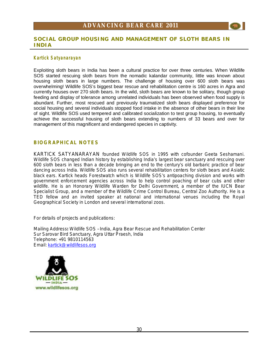

### **Kartick Satyanarayan**

Exploiting sloth bears in India has been a cultural practice for over three centuries. When Wildlife SOS started rescuing sloth bears from the nomadic kalandar community, little was known about housing sloth bears in large numbers. The challenge of housing over 600 sloth bears was overwhelming! Wildlife SOS's biggest bear rescue and rehabilitation centre is 160 acres in Agra and currently houses over 270 sloth bears. In the wild, sloth bears are known to be solitary, though group feeding and display of tolerance among unrelated individuals has been observed when food supply is abundant. Further, most rescued and previously traumatized sloth bears displayed preference for social housing and several individuals stopped food intake in the absence of other bears in their line of sight. Wildlife SOS used tempered and calibrated socialization to test group housing, to eventually achieve the successful housing of sloth bears extending to numbers of 33 bears and over for management of this magnificent and endangered species in captivity.

### **BIOGRAPHICAL NOTES**

KARTICK SATYANARAYAN founded Wildlife SOS in 1995 with cofounder Geeta Seshamani. Wildlife SOS changed Indian history by establishing India's largest bear sanctuary and rescuing over 600 sloth bears in less than a decade bringing an end to the century's old barbaric practice of bear dancing across India. Wildlife SOS also runs several rehabilitation centers for sloth bears and Asiatic black ears. Kartick heads Forestwatch which is Wildlife SOS's antipoaching division and works with government enforcement agencies across India to help control poaching of bear cubs and other wildlife. He is an Honorary Wildlife Warden for Delhi Government, a member of the IUCN Bear Specialist Group, and a member of the Wildlife Crime Control Bureau, Central Zoo Authority. He is a TED fellow and an invited speaker at national and international venues including the Royal Geographical Society in London and several international zoos.

For details of projects and publications:

Mailing Address**:** Wildlife SOS – India, Agra Bear Rescue and Rehabilitation Center Sur Sarovar Bird Sanctuary, Agra Uttar Praesh, India Telephone: +91 9810114563 Email: [kartick@wildlifesos.org](mailto:kartick@wildlifesos.org)

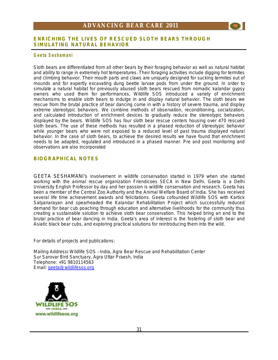

#### **G eeta Sesham ani**

Sloth bears are differentiated from all other bears by their foraging behavior as well as natural habitat and ability to range in extremely hot temperatures. Their foraging activities include digging for termites and climbing behavior. Their mouth parts and claws are uniquely designed for sucking termites out of mounds and for expertly excavating dung beetle larvae pods from under the ground. In order to simulate a natural habitat for previously abused sloth bears rescued from nomadic kalandar gypsy owners who used them for performances, Wildlife SOS introduced a variety of enrichment mechanisms to enable sloth bears to indulge in and display natural behavior. The sloth bears we rescue from the brutal practice of bear dancing come in with a history of severe trauma, and display extreme stereotypic behaviors. We combine methods of observation, reconditioning, socialization, and calculated introduction of enrichment devices to gradually reduce the stereotypic behaviors displayed by the bears. Wildlife SOS has four sloth bear rescue centers housing over 470 rescued sloth bears. The use of these methods has resulted in a phased reduction of stereotypic behavior while younger bears who were not exposed to a reduced level of past trauma displayed natural behavior. In the case of sloth bears, to achieve the desired results we have found that enrichment needs to be adapted, regulated and introduced in a phased manner. Pre and post monitoring and observations are also incorporated

### **BIOGRAPHICAL NOTES**

GEETA SESHAMANI's involvement in wildlife conservation started in 1979 when she started working with the animal rescue organization Friendicoes SECA in New Delhi. Geeta is a Delhi University English Professor by day and her passion is wildlife conservation and research. Geeta has been a member of the Central Zoo Authority and the Animal Welfare Board of India. She has received several life time achievement awards and felicitations. Geeta cofounded Wildlife SOS with Kartick Satyanarayan and spearheaded the Kalandar Rehabilitation Project which successfully reduced demand for bear cub poaching through education and alternative livelihoods for the community thus creating a sustainable solution to achieve sloth bear conservation. This helped bring an end to the brutal practice of bear dancing in India. Geeta's area of interest is the fostering of sloth bear and Asiatic black bear cubs, and exploring practical solutions for reintroducing them into the wild.

For details of projects and publications:

Mailing Address**:** Wildlife SOS – India, Agra Bear Rescue and Rehabilitation Center Sur Sarovar Bird Sanctuary, Agra Uttar Praesh, India Telephone: +91 9810114563 Email: [geeta@wildlifesos.org](mailto:geeta@wildlifesos.org)

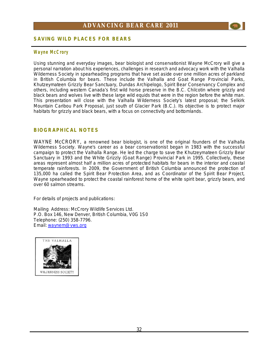

### **SAVING WILD PLACES FOR BEARS**

### **Wa yne M cC ror y**

Using stunning and everyday images, bear biologist and conservationist Wayne McCrory will give a personal narration about his experiences, challenges in research and advocacy work with the Valhalla Wilderness Society in spearheading programs that have set aside over one million acres of parkland in British Columbia for bears. These include the Valhalla and Goat Range Provincial Parks, Khutzeymateen Grizzly Bear Sanctuary, Dundas Archipelogo, Spirit Bear Conservancy Complex and others, including western Canada's first wild horse preserve in the B.C. Chilcotin where grizzly and black bears and wolves live with these large wild equids that were in the region before the white man. This presentation will close with the Valhalla Wilderness Society's latest proposal; the Selkirk Mountain Caribou Park Proposal, just south of Glacier Park (B.C.). Its objective is to protect major habitats for grizzly and black bears, with a focus on connectivity and bottomlands.

### **BIOGRAPHICAL NOTES**

WAYNE McCRORY, a renowned bear biologist, is one of the original founders of the Valhalla Wilderness Society. Wayne's career as a bear conservationist began in 1983 with the successful campaign to protect the Valhalla Range. He led the charge to save the Khutzeymateen Grizzly Bear Sanctuary in 1993 and the White Grizzly (Goat Range) Provincial Park in 1995. Collectively, these areas represent almost half a million acres of protected habitats for bears in the interior and coastal temperate rainforests. In 2009, the Government of British Columbia announced the protection of 135,000 ha called the Spirit Bear Protection Area, and as Coordinator of the Spirit Bear Project, Wayne spearheaded to protect the coastal rainforest home of the white spirit bear, grizzly bears, and over 60 salmon streams.

For details of projects and publications:

Mailing Address: McCrory Wildlife Services Ltd. P.O. Box 146, New Denver, British Columbia, V0G 1S0 Telephone: (250) 358-7796. Email: [waynem@vws.org](mailto:waynem@vws.org)

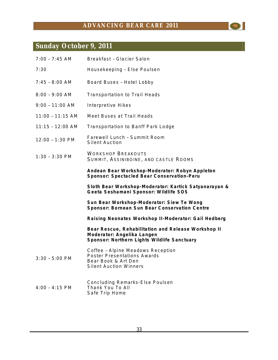$\bullet$ 

# **Sunday October 9, 2011**

| $7:00 - 7:45$ AM   | Breakfast - Glacier Salon                                                                                                        |
|--------------------|----------------------------------------------------------------------------------------------------------------------------------|
| 7:30               | Housekeeping - Else Poulsen                                                                                                      |
| $7:45 - 8:00$ AM   | Board Buses - Hotel Lobby                                                                                                        |
| $8:00 - 9:00$ AM   | <b>Transportation to Trail Heads</b>                                                                                             |
| $9:00 - 11:00$ AM  | Interpretive Hikes                                                                                                               |
| $11:00 - 11:15$ AM | Meet Buses at Trail Heads                                                                                                        |
| $11:15 - 12:00$ AM | <b>Transportation to Banff Park Lodge</b>                                                                                        |
| 12:00 - 1:30 PM    | Farewell Lunch - Summit Room<br><b>Silent Auction</b>                                                                            |
| $1:30 - 3:30$ PM   | <b>WORKSHOP BREAKOUTS</b><br>SUMMIT, ASSINIBOINE, AND CASTLE ROOMS                                                               |
|                    | Andean Bear Workshop-Moderator: Robyn Appleton<br>Sponsor: Spectacled Bear Conservation-Peru                                     |
|                    | Sloth Bear Workshop-Moderator: Kartick Satyanarayan &<br>Geeta Seshamani Sponsor: Wildlife SOS                                   |
|                    | Sun Bear Workshop-Moderator: Siew Te Wong<br>Sponsor: Bornean Sun Bear Conservation Centre                                       |
|                    | Raising Neonates Workshop II-Moderator: Gail Hedberg                                                                             |
|                    | Bear Rescue, Rehabilitation and Release Workshop II<br>Moderator: Angelika Langen<br>Sponsor: Northern Lights Wildlife Sanctuary |
| $3:30 - 5:00$ PM   | Coffee - Alpine Meadows Reception<br><b>Poster Presentations Awards</b><br>Bear Book & Art Den<br><b>Silent Auction Winners</b>  |
| $4:00 - 4:15$ PM   | <b>Concluding Remarks-Else Poulsen</b><br>Thank You To All<br>Safe Trip Home                                                     |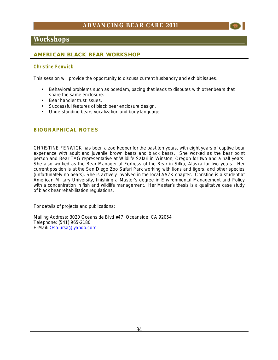### **Workshops**

### **AMERICAN BLACK BEAR WORKSHOP**

### **C hri s tine F enw i ck**

This session will provide the opportunity to discuss current husbandry and exhibit issues.

- Behavioral problems such as boredam, pacing that leads to disputes with other bears that share the same enclosure.
- Bear handler trust issues.
- Successful features of black bear enclosure design.
- Understanding bears vocalization and body language.

### **BIOGRAPHICAL NOTES**

CHRISTINE FENWICK has been a zoo keeper for the past ten years, with eight years of captive bear experience with adult and juvenile brown bears and black bears. She worked as the bear point person and Bear TAG representative at Wildlife Safari in Winston, Oregon for two and a half years. She also worked as the Bear Manager at Fortress of the Bear in Sitka, Alaska for two years. Her current position is at the San Diego Zoo Safari Park working with lions and tigers, and other species (unfortunately no bears). She is actively involved in the local AAZK chapter. Christine is a student at American Military University, finishing a Master's degree in Environmental Management and Policy with a concentration in fish and wildlife management. Her Master's thesis is a qualitative case study of black bear rehabilitation regulations.

For details of projects and publications:

Mailing Address**:** 3020 Oceanside Blvd #47, Oceanside, CA 92054 Telephone: (541) 965-2180 E-Mail: [Oso.ursa@yahoo.com](mailto:Oso.ursa@yahoo.com)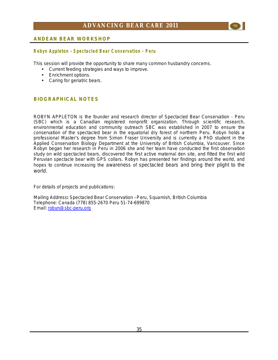

### **R obyn Appleton – Spectacle d Bear C onser vation - P eru**

This session will provide the opportunity to share many common husbandry concerns.

- Current feeding strategies and ways to improve.
- Enrichment options.
- Caring for geriatric bears.

### **BIOGRAPHICAL NOTES**

ROBYN APPLETON is the founder and research director of Spectacled Bear Conservation - Peru (SBC) which is a Canadian registered nonprofit organization. Through scientific research, environmental education and community outreach SBC was established in 2007 to ensure the conservation of the spectacled bear in the equatorial dry forest of northern Peru. Robyn holds a professional Master's degree from Simon Fraser University and is currently a PhD student in the Applied Conservation Biology Department at the University of British Columbia, Vancouver. Since Robyn began her research in Peru in 2006 she and her team have conducted the first observation study on wild spectacled bears, discovered the first active maternal den site, and fitted the first wild Peruvian spectacle bear with GPS collars. Robyn has presented her findings around the world, and hopes to continue increasing the awareness of spectacled bears and bring their plight to the world.

For details of projects and publications:

Mailing Address**:** Spectacled Bear Conservation – Peru, Squamish, British Columbia Telephone: Canada (778) 855-2670 Peru 51-74-699870 Email: [robyn@sbc-peru.org](mailto:robyn@sbc-peru.org)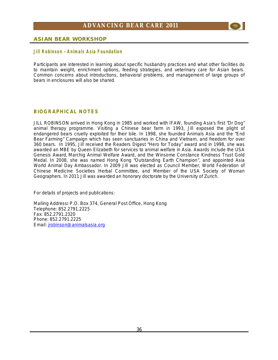

### **ASIAN BEAR WORKSHOP**

### **Ji ll R obinso n – Anim al s Asia F ou ndation**

Participants are interested in learning about specific husbandry practices and what other facilities do to maintain weight, enrichment options, feeding strategies, and veterinary care for Asian bears. Common concerns about introductions, behavioral problems, and management of large groups of bears in enclosures will also be shared.

### **BIOGRAPHICAL NOTES**

JILL ROBINSON arrived in Hong Kong in 1985 and worked with IFAW, founding Asia's first "Dr Dog" animal therapy programme. Visiting a Chinese bear farm in 1993, Jill exposed the plight of endangered bears cruelly exploited for their bile. In 1998, she founded Animals Asia and the "End Bear Farming" Campaign which has seen sanctuaries in China and Vietnam, and freedom for over 360 bears. In 1995, Jill received the Readers Digest "Hero for Today" award and in 1998, she was awarded an MBE by Queen Elizabeth for services to animal welfare in Asia. Awards include the USA Genesis Award, Marchig Animal Welfare Award, and the Winsome Constance Kindness Trust Gold Medal. In 2008, she was named Hong Kong "Outstanding Earth Champion", and appointed Asia World Animal Day Ambassador. In 2009 Jill was elected as Council Member, World Federation of Chinese Medicine Societies Herbal Committee, and Member of the USA Society of Woman Geographers. In 2011 Jill was awarded an honorary doctorate by the University of Zurich.

For details of projects and publications:

Mailing Address**:** P.O. Box 374, General Post Office, Hong Kong Telephone: 852.2791.2225 Fax: 852.2791.2320 Phone: 852.2791.2225 Email: [jrobinson@animalsasia.org](mailto:jrobinson@animalsasia.org)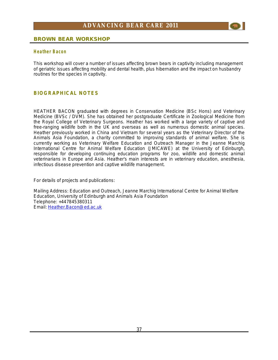

#### **H eather Bac on**

This workshop will cover a number of issues affecting brown bears in captivity including management of geriatric issues affecting mobility and dental health, plus hibernation and the impact on husbandry routines for the species in captivity.

### **BIOGRAPHICAL NOTES**

HEATHER BACON graduated with degrees in Conservation Medicine (BSc Hons) and Veterinary Medicine (BVSc / DVM). She has obtained her postgraduate Certificate in Zoological Medicine from the Royal College of Veterinary Surgeons. Heather has worked with a large variety of captive and free-ranging wildlife both in the UK and overseas as well as numerous domestic animal species. Heather previously worked in China and Vietnam for several years as the Veterinary Director of the Animals Asia Foundation, a charity committed to improving standards of animal welfare. She is currently working as Veterinary Welfare Education and Outreach Manager in the Jeanne Marchig International Centre for Animal Welfare Education (JMICAWE) at the University of Edinburgh, responsible for developing continuing education programs for zoo, wildlife and domestic animal veterinarians in Europe and Asia. Heather's main interests are in veterinary education, anesthesia, infectious disease prevention and captive wildlife management.

For details of projects and publications:

Mailing Address: Education and Outreach, Jeanne Marchig International Centre for Animal Welfare Education, University of Edinburgh and Animals Asia Foundation Telephone: +447845380311 Email: [Heather.Bacon@ed.ac.uk](mailto:Heather.Bacon@ed.ac.uk)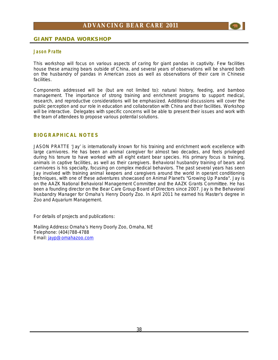

### **GIANT PANDA WORKSHOP**

#### **J aso n Pratte**

This workshop will focus on various aspects of caring for giant pandas in captivity. Few facilities house these amazing bears outside of China, and several years of observations will be shared both on the husbandry of pandas in American zoos as well as observations of their care in Chinese facilities.

Components addressed will be (but are not limited to): natural history, feeding, and bamboo management. The importance of strong training and enrichment programs to support medical, research, and reproductive considerations will be emphasized. Additional discussions will cover the public perception and our role in education and collaboration with China and their facilities. Workshop will be interactive. Delegates with specific concerns will be able to present their issues and work with the team of attendees to propose various potential solutions.

### **BIOGRAPHICAL NOTES**

JASON PRATTE 'Jay' is internationally known for his training and enrichment work excellence with large carnivores. He has been an animal caregiver for almost two decades, and feels privileged during his tenure to have worked with all eight extant bear species. His primary focus is training, animals in captive facilities, as well as their caregivers. Behavioral husbandry training of bears and carnivores is his specialty, focusing on complex medical behaviors. The past several years has seen Jay involved with training animal keepers and caregivers around the world in operant conditioning techniques, with one of these adventures showcased on Animal Planet's "Growing Up Panda". Jay is on the AAZK National Behavioral Management Committee and the AAZK Grants Committee. He has been a founding director on the Bear Care Group Board of Directors since 2007. Jay is the Behavioral Husbandry Manager for Omaha's Henry Doorly Zoo. In April 2011 he earned his Master's degree in Zoo and Aquarium Management.

For details of projects and publications:

Mailing Address**:** Omaha's Henry Doorly Zoo, Omaha, NE Telephone: (404)788-4788 Email: [jayp@omahazoo.com](mailto:jayp@omahazoo.com)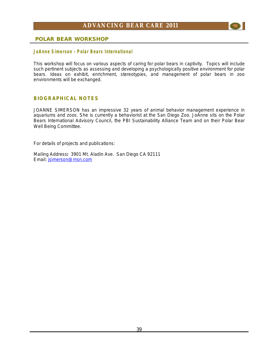

### **POLAR BEAR WORKSHOP**

#### **JoAnn e Si mer son – Polar Bear s International**

This workshop will focus on various aspects of caring for polar bears in captivity. Topics will include such pertinent subjects as assessing and developing a psychologically positive environment for polar bears. Ideas on exhibit, enrichment, stereotypies, and management of polar bears in zoo environments will be exchanged.

### **BIOGRAPHICAL NOTES**

JOANNE SIMERSON has an impressive 32 years of animal behavior management experience in aquariums and zoos. She is currently a behaviorist at the San Diego Zoo. JoAnne sits on the Polar Bears International Advisory Council, the PBI Sustainability Alliance Team and on their Polar Bear Well Being Committee.

For details of projects and publications:

Mailing Address**:** 3901 Mt. Aladin Ave. San Diego CA 92111 Email: [jsimerson@msn.com](mailto:jsimerson@msn.com)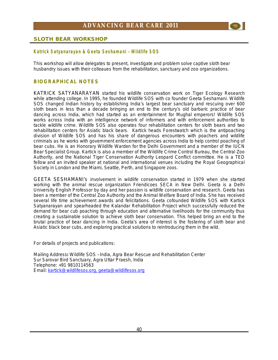

### **SLOTH BEAR WORKSHOP**

### **Katrick Satyanarayan & Geeta Seshamani - Wildlife SOS**

This workshop will allow delegates to present, investigate and problem solve captive sloth bear husbandry issues with their colleaues from the rehabilitation, sanctuary and zoo organizations.

### **BIOGRAPHICAL NOTES**

KATRICK SATYANARAYAN started his wildlife conservation work on Tiger Ecology Research while attending college. In 1995, he founded Wildlife SOS with co founder Geeta Seshamani. Wildlife SOS changed Indian history by establishing India's largest bear sanctuary and rescuing over 600 sloth bears in less than a decade bringing an end to the century's old barbaric practice of bear dancing across India, which had started as an entertainment for Mughal emperors! Wildlife SOS works across India with an intelligence network of informers and with enforcement authorities to tackle wildlife crime. Wildlife SOS also operates four rehabilitation centers for sloth bears and two rehabilitation centers for Asiatic black bears. Kartick heads Forestwatch which is the antipoaching division of Wildlife SOS and has his share of dangerous encounters with poachers and wildlife criminals as he works with government enforcement agencies across India to help control poaching of bear cubs. He is an Honorary Wildlife Warden for the Delhi Government and a member of the IUCN Bear Specialist Group. Kartick is also a member of the Wildlife Crime Control Bureau, the Central Zoo Authority, and the National Tiger Conservation Authority Leopard Conflict committee. He is a TED fellow and an invited speaker at national and international venues including the Royal Geographical Society in London and the Miami, Seattle, Perth, and Singapore zoos.

GEETA SESHAMANI's involvement in wildlife conservation started in 1979 when she started working with the animal rescue organization Friendicoes SECA in New Delhi. Geeta is a Delhi University English Professor by day and her passion is wildlife conservation and research. Geeta has been a member of the Central Zoo Authority and the Animal Welfare Board of India. She has received several life time achievement awards and felicitations. Geeta cofounded Wildlife SOS with Kartick Satyanarayan and spearheaded the Kalandar Rehabilitation Project which successfully reduced the demand for bear cub poaching through education and alternative livelihoods for the community thus creating a sustainable solution to achieve sloth bear conservation. This helped bring an end to the brutal practice of bear dancing in India. Geeta's area of interest is the fostering of sloth bear and Asiatic black bear cubs, and exploring practical solutions to reintroducing them in the wild.

For details of projects and publications:

Mailing Address**:** Wildlife SOS – India, Agra Bear Rescue and Rehabilitation Center Sur Sarovar Bird Sanctuary, Agra Uttar Praesh, India Telephone: +91 9810114563 Email: [kartick@wildlifesos.org](mailto:kartick@wildlifesos.org), [geeta@wildlifesos.org](mailto:geeta@wildlifesos.org)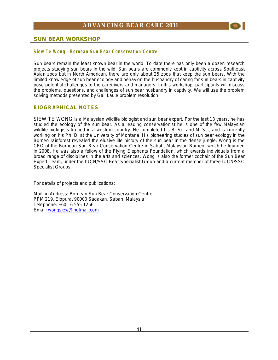

### **SUN BEAR WORKSHOP**

### **Siew Te Won g – Bornea n Sun Bear C onser vatio n C entre**

Sun bears remain the least known bear in the world. To date there has only been a dozen research projects studying sun bears in the wild. Sun bears are commonly kept in captivity across Southeast Asian zoos but in North American, there are only about 25 zoos that keep the sun bears. With the limited knowledge of sun bear ecology and behavior, the husbandry of caring for sun bears in captivity pose potential challenges to the caregivers and managers. In this workshop, participants will discuss the problems, questions, and challenges of sun bear husbandry in captivity. We will use the problem solving methods presented by Gail Laule problem resolution.

### **BIOGRAPHICAL NOTES**

SIEW TE WONG is a Malaysian wildlife biologist and sun bear expert. For the last 13 years, he has studied the ecology of the sun bear. As a leading conservationist he is one of the few Malaysian wildlife biologists trained in a western country. He completed his B. Sc. and M. Sc., and is currently working on his Ph. D. at the University of Montana. His pioneering studies of sun bear ecology in the Borneo rainforest revealed the elusive life history of the sun bear in the dense jungle. Wong is the CEO of the Bornean Sun Bear Conservation Centre in Sabah, Malaysian Borneo, which he founded in 2008. He was also a fellow of the Flying Elephants Foundation, which awards individuals from a broad range of disciplines in the arts and sciences. Wong is also the former cochair of the Sun Bear Expert Team, under the IUCN/SSC Bear Specialist Group and a current member of three IUCN/SSC Specialist Groups.

For details of projects and publications:

Mailing Address: Bornean Sun Bear Conservation Centre PPM 219, Elopura, 90000 Sadakan, Sabah, Malaysia Telephone: +60 16 555 1256 Email: [wongsiew@hotmail.com](mailto:wongsiew@hotmail.com)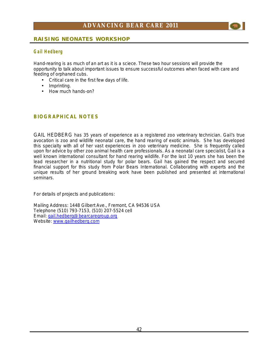

### **G ail H ed berg**

Hand-rearing is as much of an art as it is a sciece. These two hour sessions will provide the opportunity to talk about important issues to ensure successful outcomes when faced with care and feeding of orphaned cubs.

- Critical care in the first few days of life.
- Imprinting.
- How much hands-on?

### **BIOGRAPHICAL NOTES**

GAIL HEDBERG has 35 years of experience as a registered zoo veterinary technician. Gail's true avocation is zoo and wildlife neonatal care, the hand rearing of exotic animals. She has developed this specialty with all of her vast experiences in zoo veterinary medicine. She is frequently called upon for advice by other zoo animal health care professionals. As a neonatal care specialist, Gail is a well known international consultant for hand rearing wildlife. For the last 10 years she has been the lead researcher in a nutritional study for polar bears. Gail has gained the respect and secured financial support for this study from Polar Bears International. Collaborating with experts and the unique results of her ground breaking work have been published and presented at international seminars.

For details of projects and publications:

Mailing Address: 1448 Gilbert Ave., Fremont, CA 94536 USA Telephone (510) 793-7153, (510) 207-5524 cell Email: [gail.hedberg@bearcaregroup.org](mailto:gail.hedberg@bearcaregroup.org) Website: [www.gailhedberg.com](http://www.gailhedberg.com)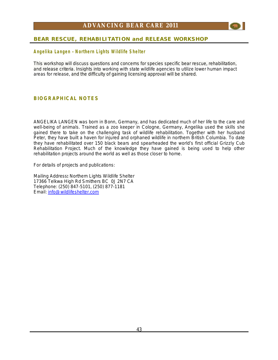

### **Angel i ka La nge n – N or thern Light s Wildl ife Shelter**

This workshop will discuss questions and concerns for species specific bear rescue, rehabilitation, and release criteria. Insights into working with state wildlife agencies to utilize lower human impact areas for release, and the difficulty of gaining licensing approval will be shared.

### **BIOGRAPHICAL NOTES**

ANGELIKA LANGEN was born in Bonn, Germany, and has dedicated much of her life to the care and well-being of animals. Trained as a zoo keeper in Cologne, Germany, Angelika used the skills she gained there to take on the challenging task of wildlife rehabilitation. Together with her husband Peter, they have built a haven for injured and orphaned wildlife in northern British Columbia. To date they have rehabilitated over 150 black bears and spearheaded the world's first official Grizzly Cub Rehabilitation Project. Much of the knowledge they have gained is being used to help other rehabilitation projects around the world as well as those closer to home.

For details of projects and publications:

Mailing Address**:** Northern Lights Wildlife Shelter 17366 Telkwa High Rd Smithers BC 0J 2N7 CA Telephone: (250) 847-5101, (250) 877-1181 Email: [info@wildlifeshelter.com](mailto:info@wildlifeshelter.com)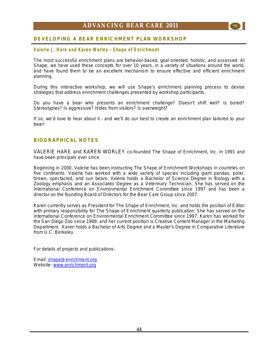

### **Val erie J. H are a nd Karen Worley – Sha pe of E nri chment**

The most successful enrichment plans are behavior-based, goal-oriented, holistic, and assessed. At Shape, we have used these concepts for over 10 years, in a variety of situations around the world, and have found them to be an excellent mechanism to ensure effective and efficient enrichment planning.

During this interactive workshop, we will use Shape's enrichment planning process to devise strategies that address enrichment challenges presented by workshop participants.

Do you have a bear who presents an enrichment challenge? Doesn't shift well? Is bored? Stereotypies? Is aggressive? Hides from visitors? Is overweight?

If so, we'd love to hear about it – and we'll do our best to create an enrichment plan tailored to your bear!

### **BIOGRAPHICAL NOTES**

VALERIE HARE and KAREN WORLEY co-founded The Shape of Enrichment, Inc. in 1991 and have been principals ever since.

Beginning in 2000, Valerie has been instructing The Shape of Enrichment Workshops in countries on five continents. Valerie has worked with a wide variety of species including giant pandas, polar, brown, spectacled, and sun bears. Valerie holds a Bachelor of Science Degree in Biology with a Zoology emphasis and an Associates Degree as a Veterinary Technician. She has served on the International Conference on Environmental Enrichment Committee since 1997 and has been a director on the founding Board of Directors for the Bear Care Group since 2007.

Karen currently serves as President for The Shape of Enrichment, Inc. and holds the position of Editor with primary responsibility for The Shape of Enrichment quarterly publication. She has served on the International Conference on Environmental Enrichment Committee since 1997. Karen has worked for the San Diego Zoo since 1989, and her current position is Creative Content Manager in the Marketing Department. Karen holds a Bachelor of Arts Degree and a Master's Degree in Comparative Literature from U.C. Berkeley.

For details of projects and publications:

Email: [shape@enrichment.org](mailto:shape@enrichment.org) Website: [www.enrichment.org](http://www.enrichment.org)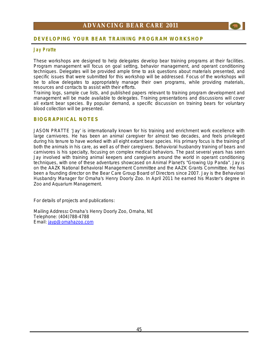

### **J ay Pratte**

These workshops are designed to help delegates develop bear training programs at their facilities. Program management will focus on goal setting, behavior management, and operant conditioning techniques. Delegates will be provided ample time to ask questions about materials presented, and specific issues that were submitted for this workshop will be addressed. Focus of the workshops will be to allow delegates to appropriately manage their own programs, while providing materials, resources and contacts to assist with their efforts.

Training logs, sample cue lists, and published papers relevant to training program development and management will be made available to delegates. Training presentations and discussions will cover all extant bear species. By popular demand, a specific discussion on training bears for voluntary blood collection will be presented.

### **BIOGRAPHICAL NOTES**

JASON PRATTE 'Jay' is internationally known for his training and enrichment work excellence with large carnivores. He has been an animal caregiver for almost two decades, and feels privileged during his tenure to have worked with all eight extant bear species. His primary focus is the training of both the animals in his care, as well as of their caregivers. Behavioral husbandry training of bears and carnivores is his specialty, focusing on complex medical behaviors. The past several years has seen Jay involved with training animal keepers and caregivers around the world in operant conditioning techniques, with one of these adventures showcased on Animal Planet's "Growing Up Panda". Jay is on the AAZK National Behavioral Management Committee and the AAZK Grants Committee. He has been a founding director on the Bear Care Group Board of Directors since 2007. Jay is the Behavioral Husbandry Manager for Omaha's Henry Doorly Zoo. In April 2011 he earned his Master's degree in Zoo and Aquarium Management.

For details of projects and publications:

Mailing Address**:** Omaha's Henry Doorly Zoo, Omaha, NE Telephone: (404)788-4788 Email: [jayp@omahazoo.com](mailto:jayp@omahazoo.com)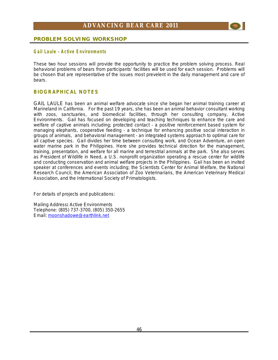

### **PROBLEM SOLVING WORKSHOP**

### **G ail Laule – Acti ve Env ironm ents**

These two hour sessions will provide the opportunity to practice the problem solving process. Real behavioral problems of bears from participants' facilities will be used for each session. Problems will be chosen that are representative of the issues most prevelent in the daily management and care of bears.

### **BIOGRAPHICAL NOTES**

GAIL LAULE has been an animal welfare advocate since she began her animal training career at Marineland in California. For the past 19 years, she has been an animal behavior consultant working with zoos, sanctuaries, and biomedical facilities, through her consulting company, Active Environments. Gail has focused on developing and teaching techniques to enhance the care and welfare of captive animals including; protected contact - a positive reinforcement based system for managing elephants, cooperative feeding - a technique for enhancing positive social interaction in groups of animals, and behavioral management - an integrated systems approach to optimal care for all captive species. Gail divides her time between consulting work, and Ocean Adventure, an open water marine park in the Philippines. Here she provides technical direction for the management, training, presentation, and welfare for all marine and terrestrial animals at the park. She also serves as President of Wildlife in Need, a U.S. nonprofit organization operating a rescue center for wildlife and conducting conservation and animal welfare projects in the Philippines. Gail has been an invited speaker at conferences and events including; the Scientists Center for Animal Welfare, the National Research Council, the American Association of Zoo Veterinarians, the American Veterinary Medical Association, and the International Society of Primatologists.

For details of projects and publications:

Mailing Address**:** Active Environments Telephone: (805) 737-3700, (805) 350-2655 Email: [moonshadowe@earthlink.net](mailto:moonshadowe@earthlink.net)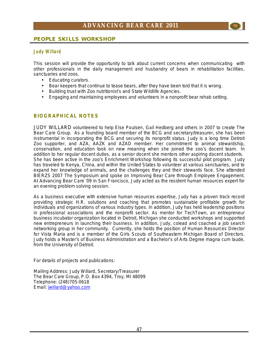### **PEOPLE SKILLS WORKSHOP**

### **J udy Wi llard**

This session will provide the opportunity to talk about current concerns when communicating with other professionals in the daily management and husbandry of bears in rehabilitation facilities, sanctuaries and zoos.

- Educating curators.
- Bear keepers that continue to tease bears, after they have been told that it is wrong.
- Building trust with Zoo nutritionist's and State Wildlife Agencies.
- Engaging and maintaining employees and volunteers in a nonprofit bear rehab setting.

### **BIOGRAPHICAL NOTES**

JUDY WILLARD volunteered to help Else Poulsen, Gail Hedberg and others in 2007 to create The Bear Care Group. As a founding board member of the BCG and secretary/treasurer, she has been instrumental in incorporating the BCG and securing its nonprofit status. Judy is a long time Detroit Zoo supporter, and AZA, AAZK and AZAD member. Her commitment to animal stewardship, conservation, and education took on new meaning when she joined the zoo's docent team. In addition to her regular docent duties, as a senior docent she mentors other aspiring docent students. She has been active in the zoo's Enrichment Workshop following its successful pilot program. Judy has traveled to Kenya, China, and within the United States to volunteer at various sanctuaries, and to expand her knowledge of animals, and the challenges they and their stewards face. She attended BIERZS 2007 The Symposium and spoke on Improving Bear Care through Employee Engagement. At Advancing Bear Care '09 in San Francisco, Judy acted as the resident human resources expert for an evening problem solving session.

As a business executive with extensive human resources expertise, Judy has a proven track record providing strategic H.R. solutions and coaching that promotes sustainable profitable growth for individuals and organizations of various industry types. In addition, Judy has held leadership positions in professional associations and the nonprofit sector. As mentor for TechTown, an entrepreneur business incubator organization located in Detroit, Michigan she conducted workshops and supported new entrepreneurs in launching their business. In addition, Judy, colead and coached a job search networking group in her community. Currently, she holds the position of Human Resources Director for Vista Maria and is a member of the Girls Scouts of Southeastern Michigan Board of Directors. Judy holds a Master's of Business Administration and a Bachelor's of Arts Degree magna cum laude, from the University of Detroit.

For details of projects and publications:

Mailing Address: Judy Willard, Secretary/Treasurer The Bear Care Group, P.O. Box 4394, Troy, MI 48099 Telephone: (248)705-0618 Email: [jwillard@yahoo.com](mailto:jwillard@yahoo.com)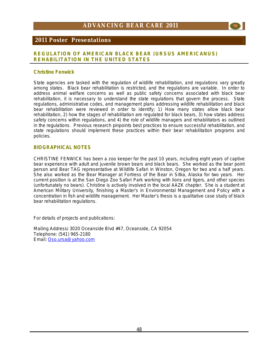

### **2011 Poster Presentations**

### **REGULATION OF AMERICAN BLACK BEAR** *(URSUS AMERICANUS)*  **REHABILITATION IN THE UNITED STATES**

### **Christine Fenwick**

State agencies are tasked with the regulation of wildlife rehabilitation, and regulations vary greatly among states. Black bear rehabilitation is restricted, and the regulations are variable. In order to address animal welfare concerns as well as public safety concerns associated with black bear rehabilitation, it is necessary to understand the state regulations that govern the process. State regulations, administrative codes, and management plans addressing wildlife rehabilitation and black bear rehabilitation were reviewed in order to identify; 1) How many states allow black bear rehabilitation, 2) how the stages of rehabilitation are regulated for black bears, 3) how states address safety concerns within regulations, and 4) the role of wildlife managers and rehabilitators as outlined in the regulations. Previous research pinpoints best practices to ensure successful rehabilitation, and state regulations should implement these practices within their bear rehabilitation programs and policies.

### **BIOGRAPHICAL NOTES**

CHRISTINE FENWICK has been a zoo keeper for the past 10 years, including eight years of captive bear experience with adult and juvenile brown bears and black bears. She worked as the bear point person and Bear TAG representative at Wildlife Safari in Winston, Oregon for two and a half years. She also worked as the Bear Manager at Fortress of the Bear in Sitka, Alaska for two years. Her current position is at the San Diego Zoo Safari Park working with lions and tigers, and other species (unfortunately no bears). Christine is actively involved in the local AAZK chapter. She is a student at American Military University, finishing a Master's in Environmental Management and Policy with a concentration in fish and wildlife management. Her Master's thesis is a qualitative case study of black bear rehabilitation regulations.

For details of projects and publications:

Mailing Address**:** 3020 Oceanside Blvd #47, Oceanside, CA 92054 Telephone: (541) 965-2180 Email: [Oso.ursa@yahoo.com](mailto:Oso.ursa@yahoo.com)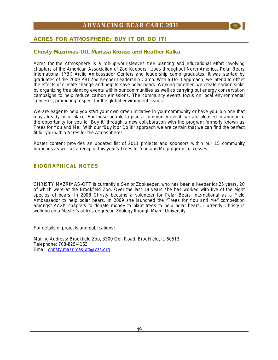

### **Christy Mazrimas-Ott, Marissa Krouse and Heather Kalka**

Acres for the Atmosphere is a roll-up-your-sleeves tree planting and educational effort involving chapters of the American Association of Zoo Keepers , zoos throughout North America, Polar Bears International (PBI) Arctic Ambassador Centers and leadership camp graduates. It was started by graduates of the 2009 PBI Zoo Keeper Leadership Camp. With a Do-It approach, we intend to offset the effects of climate change and help to save polar bears. Working together, we create carbon sinks by organizing tree planting events within our communities as well as carrying out energy conservation campaigns to help reduce carbon emissions. The community events focus on local environmental concerns, promoting respect for the global environment issues.

We are eager to help you start your own green initiative in your community or have you join one that may already be in place. For those unable to plan a community event, we are pleased to announce the opportunity for you to "Buy it" through a new collaboration with the program formerly known as Trees for You and Me. With our "Buy it or Do it!" approach we are certain that we can find the perfect fit for you within Acres for the Atmosphere!

Poster content provides an updated list of 2011 projects and sponsors within our 15 community branches as well as a recap of this year's Trees for You and Me program successes.

### **BIOGRAPHICAL NOTES**

CHRISTY MAZRIMAS-OTT is currently a Senior Zookeeper, who has been a keeper for 25 years, 20 of which were at the Brookfield Zoo. Over the last 18 years she has worked with five of the eight species of bears. In 2008 Christy became a volunteer for Polar Bears International as a Field Ambassador to help polar bears. In 2009 she launched the "Trees for You and Me" competition amongst AAZK chapters to donate money to plant trees to help polar bears. Currently Christy is working on a Master's of Arts degree in Zoology through Miami University.

For details of projects and publications:

Mailing Address**:** Brookfield Zoo, 3300 Golf Road, Brookfield, IL 60513 Telephone: 708-825-4163 Email: [christy.mazrimas-ott@czs.org](mailto:christy.mazrimas-ott@czs.org)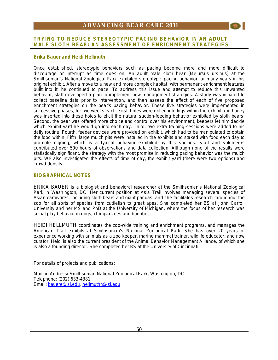### **TRYING TO REDUCE STEREOTYPIC PACING BEHAVIOR IN AN ADULT MALE SLOTH BEAR: AN ASSESSMENT OF ENRICHMENT STRATEGIES**

### **Erika Bauer and Heidi Hellmuth**

Once established, stereotypic behaviors such as pacing become more and more difficult to discourage or interrupt as time goes on. An adult male sloth bear (*Melursus ursinus*) at the Smithsonian's National Zoological Park exhibited stereotypic pacing behavior for many years in his original exhibit. After a move to a new and more complex habitat, with permanent enrichment features built into it, he continued to pace. To address this issue and attempt to reduce this unwanted behavior, staff developed a plan to implement new management strategies. A study was initiated to collect baseline data prior to intervention, and then assess the effect of each of five proposed enrichment strategies on the bear's pacing behavior. These five strategies were implemented in successive phases, for two weeks each. First, holes were drilled into logs within the exhibit and honey was inserted into these holes to elicit the natural suction-feeding behavior exhibited by sloth bears. Second, the bear was offered more choice and control over his environment, keepers let him decide which exhibit yard he would go into each day. Third, two extra training sessions were added to his daily routine. Fourth, feeder devices were provided on exhibit, which had to be manipulated to obtain the food within. Fifth, large mulch pits were installed in the exhibits and staked with food each day to promote digging, which is a typical behavior exhibited by this species. Staff and volunteers contributed over 500 hours of observations and data collection. Although none of the results were statistically significant, the strategy with the most promise in reducing pacing behavior was the mulch pits. We also investigated the effects of time of day, the exhibit yard (there were two options) and crowd density.

### **BIOGRAPHICAL NOTES**

ERIKA BAUER is a biologist and behavioral researcher at the Smithsonian's National Zoological Park in Washington, DC. Her current position at Asia Trail involves managing several species of Asian carnivores, including sloth bears and giant pandas, and she facilitates research throughout the zoo for all sorts of species from cuttlefish to great apes. She completed her BS at John Carroll University and her MS and PhD at the University of Michigan, where the focus of her research was social play behavior in dogs, chimpanzees and bonobos.

HEIDI HELLMUTH coordinates the zoo-wide training and enrichment programs, and manages the American Trail exhibits at Smithsonian's National Zoological Park. She has over 20 years of experience working with animals as a zoo keeper, marine mammal trainer, wildlife educator, and now curator. Heidi is also the current president of the Animal Behavior Management Alliance, of which she is also a founding director. She completed her BS at the University of Cincinnati.

For details of projects and publications:

Mailing Address**:** Smithsonian National Zoological Park, Washington, DC Telephone: (202) 633-4381 Email: [bauere@si.edu](mailto:bauere@si.edu), [hellmuthh@si.edu](mailto:hellmuthh@si.edu)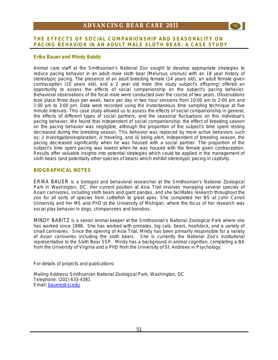

### **Erika Bauer and Mindy Babitz**

Animal care staff at the Smithsonian's National Zoo sought to develop appropriate strategies to reduce pacing behavior in an adult male sloth bear (*Melursus ursinus*) with an 18 year history of stereotypic pacing. The presence of an adult breeding female (14 years old), an adult female given contraception (10 years old), and a 2 year old male (the study subject's offspring) offered an opportunity to assess the effects of social companionship on the subject's pacing behavior. Behavioral observations of the focal male were conducted over the course of two years. Observations took place three days per week, twice per day in two hour sessions from 10:00 am to 2:00 pm and 1:00 pm to 3:00 pm. Data were recorded using the instantaneous time sampling technique at five minute intervals. This case study allowed us to assess the effects of social companionship in general, the effects of different types of social partners, and the seasonal fluctuations on this individual's pacing behavior. We found that independent of social companionship, the effect of breeding season on the pacing behavior was negligible, although the proportion of the subject's time spent resting decreased during the breeding season. This behavior was replaced by more active behaviors such as; i/ investigation/exploration, ii/ traveling, and iii/ being alert. Independent of breeding season, the pacing decreased significantly when he was housed with a social partner. The proportion of the subject's time spent pacing was lowest when he was housed with the female given contraception. Results offer valuable insights into potential strategies which could be applied in the management of sloth bears (and potentially other species of bears) which exhibit stereotypic pacing in captivity.

### **BIOGRAPHICAL NOTES**

ERIKA BAUER is a biologist and behavioral researcher at the Smithsonian's National Zoological Park in Washington, DC. Her current position at Asia Trail involves managing several species of Asian carnivores, including sloth bears and giant pandas, and she facilitates research throughout the zoo for all sorts of species from cuttlefish to great apes. She completed her BS at John Carroll University and her MS and PhD at the University of Michigan, where the focus of her research was social play behavior in dogs, chimpanzees and bonobos.

MINDY BABITZ is a senior animal keeper at the Smithsonian's National Zoological Park where she has worked since 1998. She has worked with primates, big cats, bears, hoofstock, and a variety of small carnivores. Since the opening of Asia Trial, Mindy has been primarily responsible for a variety of Asian carnivores including the sloth bears. She is currently the National Zoo's institutional representative to the Sloth Bear SSP. Mindy has a background in animal cognition, completing a BA from the University of Virginia and a PhD from the University of St. Andrews in Psychology.

For details of projects and publications:

Mailing Address**:** Smithsonian National Zoological Park, Washington, DC Telephone: (202) 633-4381 Email: [bauere@si.edu](mailto:bauere@si.edu)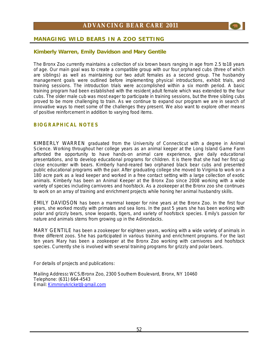

### **Kimberly Warren, Emily Davidson and Mary Gentile**

The Bronx Zoo currently maintains a collection of six brown bears ranging in age from 2.5 to18 years of age. Our main goal was to create a compatible group with our four orphaned cubs (three of which are siblings) as well as maintaining our two adult females as a second group. The husbandry management goals were outlined before implementing physical introductions, exhibit trials, and training sessions. The introduction trials were accomplished within a six month period. A basic training program had been established with the resident adult female which was extended to the four cubs. The older male cub was most eager to participate in training sessions, but the three sibling cubs proved to be more challenging to train. As we continue to expand our program we are in search of innovative ways to meet some of the challenges they present. We also want to explore other means of positive reinforcement in addition to varying food items.

### **BIOGRAPHICAL NOTES**

KIMBERLY WARREN graduated from the University of Connecticut with a degree in Animal Science. Working throughout her college years as an animal keeper at the Long Island Game Farm afforded the opportunity to have hands-on animal care experience, give daily educational presentations, and to develop educational programs for children. It is there that she had her first up close encounter with bears. Kimberly hand-reared two orphaned black bear cubs and presented public educational programs with the pair. After graduating college she moved to Virginia to work on a 180 acre park as a lead keeper and worked in a free contact setting with a large collection of exotic animals. Kimberly has been an Animal Keeper at the Bronx Zoo since 2008 working with a wide variety of species including carnivores and hoofstock. As a zookeeper at the Bronx zoo she continues to work on an array of training and enrichment projects while honing her animal husbandry skills.

EMILY DAVIDSON has been a mammal keeper for nine years at the Bronx Zoo. In the first four years, she worked mostly with primates and sea lions. In the past 5 years she has been working with polar and grizzly bears, snow leopards, tigers, and variety of hoofstock species. Emily's passion for nature and animals stems from growing up in the Adirondacks.

MARY GENTILE has been a zookeeper for eighteen years, working with a wide variety of animals in three different zoos. She has participated in various training and enrichment programs. For the last ten years Mary has been a zookeeper at the Bronx Zoo working with carnivores and hoofstock species. Currently she is involved with several training programs for grizzly and polar bears.

For details of projects and publications:

Mailing Address**:** WCS/Bronx Zoo, 2300 Southern Boulevard, Bronx, NY 10460 Telephone: (631) 664-4543 Email: [Kimminykricket@gmail.com](mailto:Kimminykricket@gmail.com)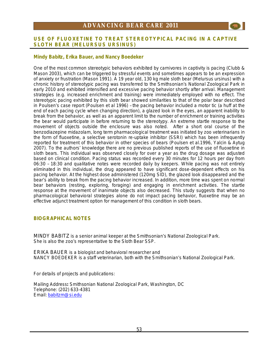### **USE OF FLUOXETINE TO TREAT STEREOTYPICAL PACING IN A CAPTIVE SLOTH BEAR** *(MELURSUS URSINUS)*

### **Mindy Babitz, Erika Bauer, and Nancy Boedeker**

One of the most common stereotypic behaviors exhibited by carnivores in captivity is pacing (Clubb & Mason 2003), which can be triggered by stressful events and sometimes appears to be an expression of anxiety or frustration (Mason 1991). A 19 year old, 130 kg male sloth bear (*Melursus ursinus)* with a chronic history of stereotypic pacing was transferred to the Smithsonian's National Zoological Park in early 2010 and exhibited intensified and excessive pacing behavior shortly after arrival. Management strategies (e.g. increased enrichment and training) were immediately employed with no effect. The stereotypic pacing exhibited by this sloth bear showed similarities to that of the polar bear described in Poulsen's case report (Poulsen *et al* 1996) – the pacing behavior included a motor tic (a huff at the end of each pacing cycle when changing direction), a glazed look in the eyes, an apparent inability to break from the behavior, as well as an apparent limit to the number of enrichment or training activities the bear would participate in before returning to the stereotypy. An extreme startle response to the movement of objects outside the enclosure was also noted. After a short oral course of the benzodiazepine midazolam, long term pharmacological treatment was initiated by zoo veterinarians in the form of fluoxetine, a selective serotonin re-uptake inhibitor (SSRI) which has been infrequently reported for treatment of this behavior in other species of bears (Poulsen et al.1996, Yalcin & Aytug 2007). To the authors' knowledge there are no previous published reports of the use of fluoxetine in sloth bears. This individual was observed closely for over a year as the drug dosage was adjusted based on clinical condition. Pacing status was recorded every 30 minutes for 12 hours per day from 06:30 – 18:30 and qualitative notes were recorded daily by keepers. While pacing was not entirely eliminated in this individual, the drug appeared to have significant dose-dependent effects on his pacing behavior. At the highest dose administered (120mg SID), the glazed look disappeared and the bear's ability to break from the pacing behavior increased. In addition, more time was spent on normal bear behaviors (resting, exploring, foraging) and engaging in enrichment activities. The startle response at the movement of inanimate objects also decreased. This study suggests that when no pharmacological behavioral strategies alone do not impact pacing behavior, fluoxetine may be an effective adjunct treatment option for management of this condition in sloth bears.

### **BIOGRAPHICAL NOTES**

MINDY BABITZ is a senior animal keeper at the Smithsonian's National Zoological Park. She is also the zoo's representative to the Sloth Bear SSP.

ERIKA BAUER is a biologist and behavioral researcher and NANCY BOEDEKER is a staff veterinarian, both with the Smithsonian's National Zoological Park.

For details of projects and publications:

Mailing Address**:** Smithsonian National Zoological Park, Washington, DC Telephone: (202) 633-4381 Email: [babitzm@si.edu](mailto:babitzm@si.edu)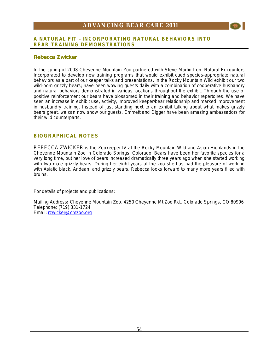### **A NATURAL FIT – INCORPORATING NATURAL BEHAVIORS INTO BEAR TRAINING DEMONSTRATIONS**

### **Rebecca Zwicker**

In the spring of 2008 Cheyenne Mountain Zoo partnered with Steve Martin from Natural Encounters Incorporated to develop new training programs that would exhibit cued species-appropriate natural behaviors as a part of our keeper talks and presentations. In the Rocky Mountain Wild exhibit our two wild-born grizzly bears; have been wowing guests daily with a combination of cooperative husbandry and natural behaviors demonstrated in various locations throughout the exhibit. Through the use of positive reinforcement our bears have blossomed in their training and behavior repertoires. We have seen an increase in exhibit use, activity, improved keeper/bear relationship and marked improvement in husbandry training. Instead of just standing next to an exhibit talking about what makes grizzly bears great, we can now show our guests. Emmett and Digger have been amazing ambassadors for their wild counterparts.

### **BIOGRAPHICAL NOTES**

REBECCA ZWICKER is the Zookeeper IV at the Rocky Mountain Wild and Asian Highlands in the Cheyenne Mountain Zoo in Colorado Springs, Colorado. Bears have been her favorite species for a very long time, but her love of bears increased dramatically three years ago when she started working with two male grizzly bears. During her eight years at the zoo she has had the pleasure of working with Asiatic black, Andean, and grizzly bears. Rebecca looks forward to many more years filled with bruins.

For details of projects and publications:

Mailing Address**:** Cheyenne Mountain Zoo, 4250 Cheyenne Mt Zoo Rd., Colorado Springs, CO 80906 Telephone: (719) 331-1724 Email: [rzwicker@cmzoo.org](mailto:rzwicker@cmzoo.org)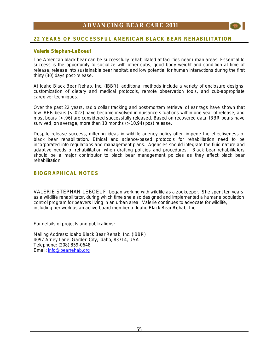

### **22 YEARS OF SUCCESSFUL AMERICAN BLACK BEAR REHABILITATION**

### **Valerie Stephan-LeBoeuf**

The American black bear can be successfully rehabilitated at facilities near urban areas. Essential to success is the opportunity to socialize with other cubs, good body weight and condition at time of release, release into sustainable bear habitat, and low potential for human interactions during the first thirty (30) days post-release.

At Idaho Black Bear Rehab, Inc. (IBBR), additional methods include a variety of enclosure designs, customization of dietary and medical protocols, remote observation tools, and cub-appropriate caregiver techniques.

Over the past 22 years, radio collar tracking and post-mortem retrieval of ear tags have shown that few IBBR bears (< .022) have become involved in nuisance situations within one year of release, and most bears (> .96) are considered successfully released. Based on recovered data, IBBR bears have survived, on average, more than 10 months (> 10.94) post release.

Despite release success, differing ideas in wildlife agency policy often impede the effectiveness of black bear rehabilitation. Ethical and science-based protocols for rehabilitation need to be incorporated into regulations and management plans. Agencies should integrate the fluid nature and adaptive needs of rehabilitation when drafting policies and procedures. Black bear rehabilitators should be a major contributor to black bear management policies as they affect black bear rehabilitation.

### **BIOGRAPHICAL NOTES**

VALERIE STEPHAN-LEBOEUF, began working with wildlife as a zookeeper. She spent ten years as a wildlife rehabilitator, during which time she also designed and implemented a humane population control program for beavers living in an urban area. Valerie continues to advocate for wildlife, including her work as an active board member of Idaho Black Bear Rehab, Inc.

For details of projects and publications:

Mailing Address**:** Idaho Black Bear Rehab, Inc. (IBBR) 4097 Arney Lane, Garden City, Idaho, 83714, USA Telephone: (208) 859-0648 Email: [info@bearrehab.org](mailto:info@bearrehab.org)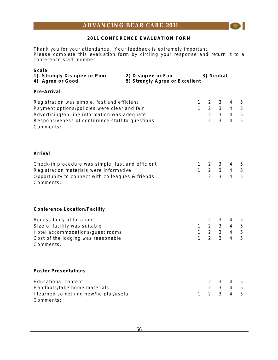### **2011 CONFERENCE EVALUATION FORM**

 $\left( \mathcal{L}_{\mathbf{M}}\right)$ 

Thank you for your attendance. Your feedback is extremely important. Please complete this evaluation form by circling your response and return it to a conference staff member.

| Scale<br>1) Strongly Disagree or Poor<br>4) Agree or Good                                                                                                                                                   | 2) Disagree or Fair<br>5) Strongly Agree or Excellent |                                              |                                                              | 3) Neutral                                         |                            |                                            |
|-------------------------------------------------------------------------------------------------------------------------------------------------------------------------------------------------------------|-------------------------------------------------------|----------------------------------------------|--------------------------------------------------------------|----------------------------------------------------|----------------------------|--------------------------------------------|
| Pre-Arrival                                                                                                                                                                                                 |                                                       |                                              |                                                              |                                                    |                            |                                            |
| Registration was simple, fast and efficient<br>Payment options/policies were clear and fair<br>Advertising/on-line information was adequate<br>Responsiveness of conference staff to questions<br>Comments: |                                                       | 1<br>$\mathbf{1}$<br>$\mathbf{1}$<br>1       | $2^{\circ}$<br>$2^{\circ}$<br>$2^{\circ}$<br>$\overline{2}$  | 3<br>3 <sup>7</sup><br>$\overline{3}$              | 4<br>4<br>$3 \quad 4$<br>4 | 5<br>$\overline{5}$<br>$\overline{5}$<br>5 |
| Arrival                                                                                                                                                                                                     |                                                       |                                              |                                                              |                                                    |                            |                                            |
| Check-in procedure was simple, fast and efficient<br>Registration materials were informative<br>Opportunity to connect with colleagues & friends<br>Comments:                                               |                                                       | $\mathbf{1}$<br>$\mathbf{1}$<br>$\mathbf{1}$ | $2^{\circ}$<br>$2^{\circ}$<br>$\overline{2}$                 | 3<br>$\mathbf{3}$<br>3                             | 4<br>4<br>4                | 5<br>5<br>5                                |
| <b>Conference Location/Facility</b>                                                                                                                                                                         |                                                       |                                              |                                                              |                                                    |                            |                                            |
| Accessibility of location<br>Size of facility was suitable<br>Hotel accommodations/guest rooms<br>Cost of the lodging was reasonable<br>Comments:                                                           |                                                       | 1<br>$\mathbf{1}$<br>1<br>$\mathbf{1}$       | $\mathbf{2}$<br>$2^{\circ}$<br>$2^{\circ}$<br>$\overline{2}$ | 3<br>$3^{\circ}$<br>$\mathbf{3}$<br>$\overline{3}$ | 4<br>4<br>4<br>4           | 5<br>5<br>$\overline{5}$<br>5              |
| <b>Poster Presentations</b>                                                                                                                                                                                 |                                                       |                                              |                                                              |                                                    |                            |                                            |
| <b>Educational content</b><br>Handouts/take home materials<br>I learned something new/helpful/useful<br>Comments:                                                                                           |                                                       | 1<br>$\mathbf{1}$<br>1                       | $2 \overline{ }$<br>$2^{\circ}$<br>$\overline{2}$            | 3<br>3 <sup>7</sup><br>$\overline{3}$              | 4<br>4<br>4                | 5<br>$\sqrt{5}$<br>5                       |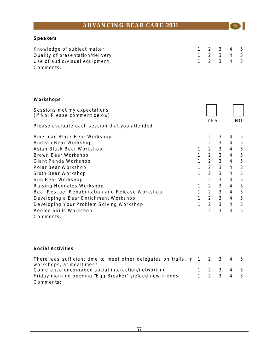$\odot$ 

### **Speakers**

| Knowledge of subject matter      | 1 2 3 4 5 |  |  |
|----------------------------------|-----------|--|--|
| Quality of presentation/delivery | 1 2 3 4 5 |  |  |
| Use of audio/visual equipment    | 1 2 3 4 5 |  |  |
| Comments:                        |           |  |  |

### **Workshops**

| Sessions met my expectations<br>(If No; Please comment below) |   |                |   |                |     |
|---------------------------------------------------------------|---|----------------|---|----------------|-----|
|                                                               |   | YES            |   |                | NO. |
| Please evaluate each session that you attended                |   |                |   |                |     |
| American Black Bear Workshop                                  |   | 2              | 3 | 4              | 5   |
| Andean Bear Workshop                                          | 1 | $\overline{2}$ | 3 | $\overline{4}$ | 5   |
| Asian Black Bear Workshop                                     | 1 | $\overline{2}$ | 3 | $\overline{4}$ | 5   |
| Brown Bear Workshop                                           | 1 | $\overline{2}$ | 3 | $\overline{4}$ | 5   |
| Giant Panda Workshop                                          | 1 | $\overline{2}$ | 3 | 4              | 5   |
| Polar Bear Workshop                                           | 1 | $\overline{2}$ | 3 | $\overline{4}$ | 5   |
| Sloth Bear Workshop                                           | 1 | $\overline{2}$ | 3 | 4              | 5   |
| Sun Bear Workshop                                             | 1 | $\overline{2}$ | 3 | 4              | 5   |
| Raising Neonates Workshop                                     | 1 | $\overline{2}$ | 3 | 4              | 5   |
| Bear Rescue, Rehabilitation and Release Workshop              | 1 | $\overline{2}$ | 3 | $\overline{4}$ | 5   |
| Developing a Bear Enrichment Workshop                         | 1 | $\overline{2}$ | 3 | $\overline{4}$ | 5   |
| Developing Your Problem Solving Workshop                      | 1 | $\overline{2}$ | 3 | $\overline{4}$ | 5   |
| People Skills Workshop                                        | 1 | $\overline{2}$ | 3 | 4              | 5   |
| Comments:                                                     |   |                |   |                |     |

### **Social Activities**

| There was sufficient time to meet other delegates on trails, in $1 \quad 2 \quad 3 \quad 4 \quad 5$ |  |           |  |
|-----------------------------------------------------------------------------------------------------|--|-----------|--|
| workshops, at mealtimes?                                                                            |  |           |  |
| Conference encouraged social interaction/networking                                                 |  | 1 2 3 4 5 |  |
| Friday morning opening "Egg Breaker" yielded new friends                                            |  | 1 2 3 4 5 |  |
| Comments:                                                                                           |  |           |  |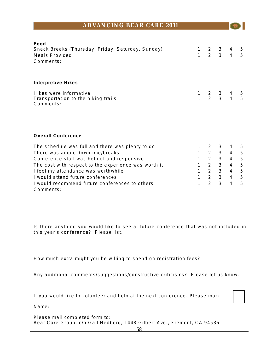| Food<br>Snack Breaks (Thursday, Friday, Saturday, Sunday)<br><b>Meals Provided</b><br>Comments: | 1<br>1              | $2 \overline{ }$<br>2 <sup>1</sup> | 3<br>$\overline{3}$ | 4<br>$\overline{4}$ | 5<br>5         |
|-------------------------------------------------------------------------------------------------|---------------------|------------------------------------|---------------------|---------------------|----------------|
| Interpretive Hikes                                                                              |                     |                                    |                     |                     |                |
| Hikes were informative<br>Transportation to the hiking trails<br>Comments:                      | 1<br>$\overline{1}$ | $\frac{2}{2}$                      | $\frac{3}{3}$       | $\frac{4}{4}$       | $\frac{5}{5}$  |
| <b>Overall Conference</b>                                                                       |                     |                                    |                     |                     |                |
| The schedule was full and there was plenty to do                                                | 1                   | 2                                  | 3                   | 4                   | 5              |
| There was ample downtime/breaks                                                                 | $\mathbf{1}$        | $2^{\circ}$                        | 3                   | $\overline{4}$      | $\overline{5}$ |
| Conference staff was helpful and responsive                                                     | $\mathbf{1}$        | $\overline{2}$                     | $\mathbf{3}$        | $\overline{4}$      | 5              |
| The cost with respect to the experience was worth it                                            | 1                   | 2 <sup>1</sup>                     | 3                   | $\overline{4}$      | 5              |
| I feel my attendance was worthwhile                                                             | 1                   | $\overline{2}$                     | $\mathfrak{Z}$      | $\overline{4}$      | 5              |
| I would attend future conferences                                                               | 1                   | $2^{\circ}$                        | 3                   | $\overline{4}$      | 5              |
| I would recommend future conferences to others                                                  | 1                   | $\overline{2}$                     | 3                   | $\overline{4}$      | 5              |
| Comments:                                                                                       |                     |                                    |                     |                     |                |

Is there anything you would like to see at future conference that was not included in this year's conference? Please list.

How much extra might you be willing to spend on registration fees?

Any additional comments/suggestions/constructive criticisms? Please let us know.

If you would like to volunteer and help at the next conference- Please mark

Name:

Please mail completed form to: Bear Care Group, c/o Gail Hedberg, 1448 Gilbert Ave., Fremont, CA 94536